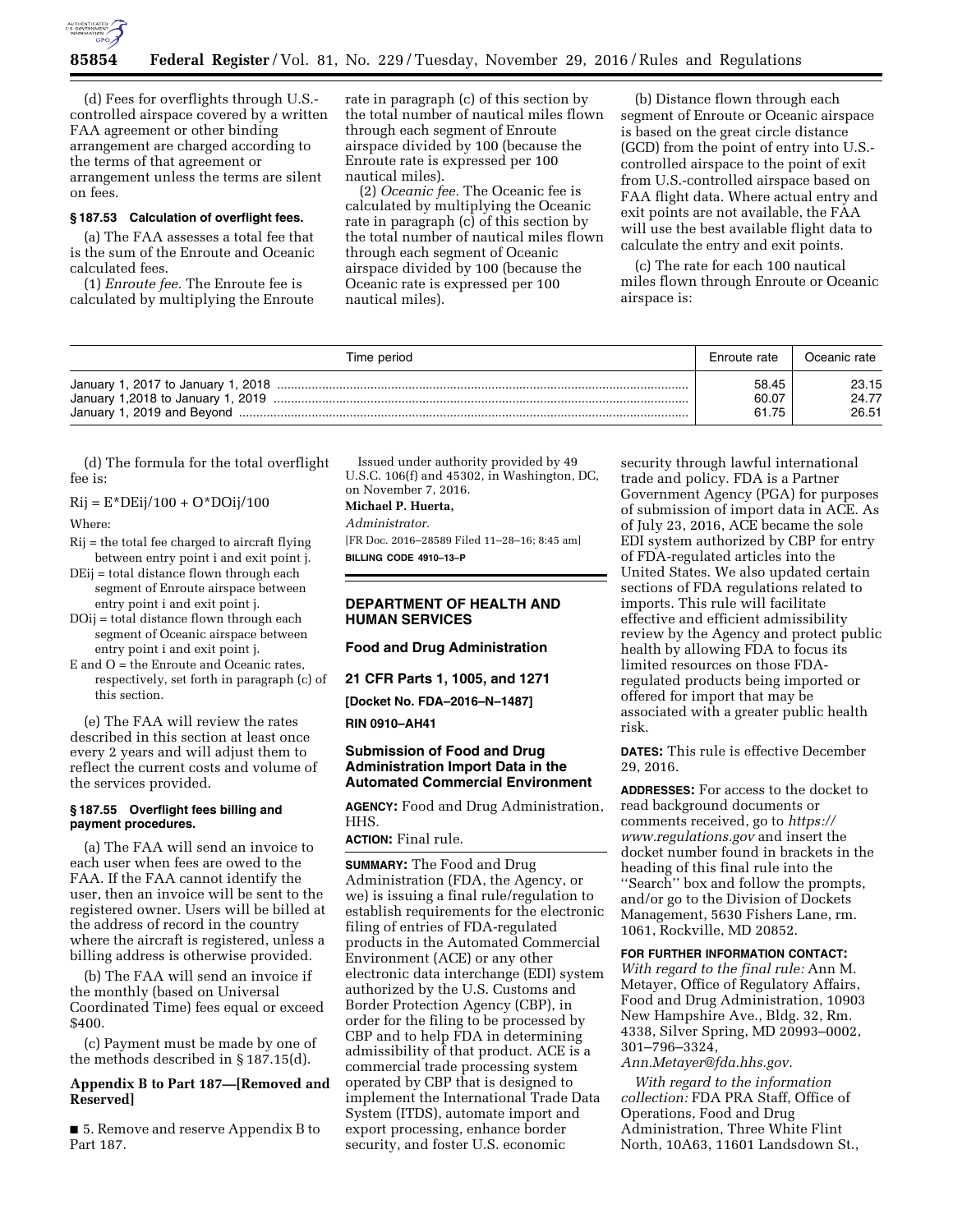

(d) Fees for overflights through U.S. controlled airspace covered by a written FAA agreement or other binding arrangement are charged according to the terms of that agreement or arrangement unless the terms are silent on fees.

#### **§ 187.53 Calculation of overflight fees.**

(a) The FAA assesses a total fee that is the sum of the Enroute and Oceanic calculated fees.

(1) *Enroute fee.* The Enroute fee is calculated by multiplying the Enroute rate in paragraph (c) of this section by the total number of nautical miles flown through each segment of Enroute airspace divided by 100 (because the Enroute rate is expressed per 100 nautical miles).

(2) *Oceanic fee.* The Oceanic fee is calculated by multiplying the Oceanic rate in paragraph (c) of this section by the total number of nautical miles flown through each segment of Oceanic airspace divided by 100 (because the Oceanic rate is expressed per 100 nautical miles).

(b) Distance flown through each segment of Enroute or Oceanic airspace is based on the great circle distance (GCD) from the point of entry into U.S. controlled airspace to the point of exit from U.S.-controlled airspace based on FAA flight data. Where actual entry and exit points are not available, the FAA will use the best available flight data to calculate the entry and exit points.

(c) The rate for each 100 nautical miles flown through Enroute or Oceanic airspace is:

| Time period                        | Enroute rate            | Oceanic rate            |
|------------------------------------|-------------------------|-------------------------|
| January 1,2018 to January 1, 2019. | 58.45<br>60.07<br>61.75 | 23.15<br>24.77<br>26.51 |

(d) The formula for the total overflight fee is:

 $Rij = E^*DEij/100 + O^*DOij/100$ 

Where:

- Rij = the total fee charged to aircraft flying between entry point i and exit point j.
- DEij = total distance flown through each segment of Enroute airspace between entry point i and exit point j.
- DOij = total distance flown through each segment of Oceanic airspace between entry point i and exit point j.
- E and O = the Enroute and Oceanic rates, respectively, set forth in paragraph (c) of this section.

(e) The FAA will review the rates described in this section at least once every 2 years and will adjust them to reflect the current costs and volume of the services provided.

## **§ 187.55 Overflight fees billing and payment procedures.**

(a) The FAA will send an invoice to each user when fees are owed to the FAA. If the FAA cannot identify the user, then an invoice will be sent to the registered owner. Users will be billed at the address of record in the country where the aircraft is registered, unless a billing address is otherwise provided.

(b) The FAA will send an invoice if the monthly (based on Universal Coordinated Time) fees equal or exceed \$400.

(c) Payment must be made by one of the methods described in § 187.15(d).

## **Appendix B to Part 187—[Removed and Reserved]**

■ 5. Remove and reserve Appendix B to Part 187.

Issued under authority provided by 49 U.S.C. 106(f) and 45302, in Washington, DC, on November 7, 2016.

#### **Michael P. Huerta,**

*Administrator.* 

[FR Doc. 2016–28589 Filed 11–28–16; 8:45 am] **BILLING CODE 4910–13–P** 

## **DEPARTMENT OF HEALTH AND HUMAN SERVICES**

## **Food and Drug Administration**

**21 CFR Parts 1, 1005, and 1271** 

**[Docket No. FDA–2016–N–1487]** 

## **RIN 0910–AH41**

# **Submission of Food and Drug Administration Import Data in the Automated Commercial Environment**

**AGENCY:** Food and Drug Administration, HHS.

# **ACTION:** Final rule.

**SUMMARY:** The Food and Drug Administration (FDA, the Agency, or we) is issuing a final rule/regulation to establish requirements for the electronic filing of entries of FDA-regulated products in the Automated Commercial Environment (ACE) or any other electronic data interchange (EDI) system authorized by the U.S. Customs and Border Protection Agency (CBP), in order for the filing to be processed by CBP and to help FDA in determining admissibility of that product. ACE is a commercial trade processing system operated by CBP that is designed to implement the International Trade Data System (ITDS), automate import and export processing, enhance border security, and foster U.S. economic

security through lawful international trade and policy. FDA is a Partner Government Agency (PGA) for purposes of submission of import data in ACE. As of July 23, 2016, ACE became the sole EDI system authorized by CBP for entry of FDA-regulated articles into the United States. We also updated certain sections of FDA regulations related to imports. This rule will facilitate effective and efficient admissibility review by the Agency and protect public health by allowing FDA to focus its limited resources on those FDAregulated products being imported or offered for import that may be associated with a greater public health risk.

**DATES:** This rule is effective December 29, 2016.

**ADDRESSES:** For access to the docket to read background documents or comments received, go to *[https://](https://www.regulations.gov)  [www.regulations.gov](https://www.regulations.gov)* and insert the docket number found in brackets in the heading of this final rule into the ''Search'' box and follow the prompts, and/or go to the Division of Dockets Management, 5630 Fishers Lane, rm. 1061, Rockville, MD 20852.

#### **FOR FURTHER INFORMATION CONTACT:**

*With regard to the final rule:* Ann M. Metayer, Office of Regulatory Affairs, Food and Drug Administration, 10903 New Hampshire Ave., Bldg. 32, Rm. 4338, Silver Spring, MD 20993–0002, 301–796–3324,

*[Ann.Metayer@fda.hhs.gov.](mailto:Ann.Metayer@fda.hhs.gov)* 

*With regard to the information collection:* FDA PRA Staff, Office of Operations, Food and Drug Administration, Three White Flint North, 10A63, 11601 Landsdown St.,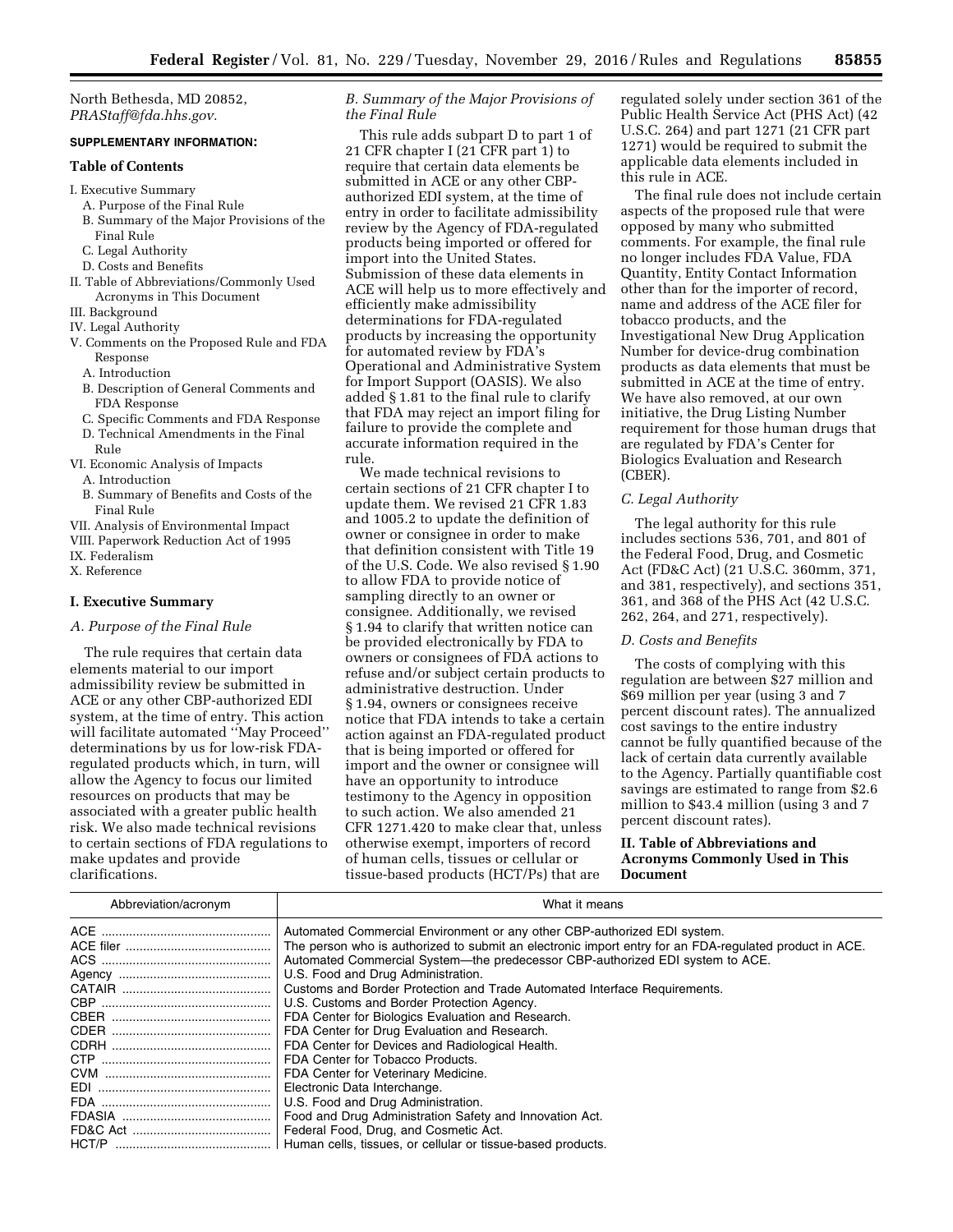North Bethesda, MD 20852, *[PRAStaff@fda.hhs.gov.](mailto:PRAStaff@fda.hhs.gov)* 

## **SUPPLEMENTARY INFORMATION:**

#### **Table of Contents**

- I. Executive Summary
	- A. Purpose of the Final Rule
	- B. Summary of the Major Provisions of the Final Rule
	- C. Legal Authority
	- D. Costs and Benefits
- II. Table of Abbreviations/Commonly Used Acronyms in This Document
- III. Background
- IV. Legal Authority
- V. Comments on the Proposed Rule and FDA Response
	- A. Introduction
	- B. Description of General Comments and FDA Response
	- C. Specific Comments and FDA Response D. Technical Amendments in the Final
	- Rule
- VI. Economic Analysis of Impacts
	- A. Introduction
	- B. Summary of Benefits and Costs of the Final Rule
- VII. Analysis of Environmental Impact
- VIII. Paperwork Reduction Act of 1995
- IX. Federalism

X. Reference

#### **I. Executive Summary**

## *A. Purpose of the Final Rule*

The rule requires that certain data elements material to our import admissibility review be submitted in ACE or any other CBP-authorized EDI system, at the time of entry. This action will facilitate automated ''May Proceed'' determinations by us for low-risk FDAregulated products which, in turn, will allow the Agency to focus our limited resources on products that may be associated with a greater public health risk. We also made technical revisions to certain sections of FDA regulations to make updates and provide clarifications.

## *B. Summary of the Major Provisions of the Final Rule*

This rule adds subpart D to part 1 of 21 CFR chapter I (21 CFR part 1) to require that certain data elements be submitted in ACE or any other CBPauthorized EDI system, at the time of entry in order to facilitate admissibility review by the Agency of FDA-regulated products being imported or offered for import into the United States. Submission of these data elements in ACE will help us to more effectively and efficiently make admissibility determinations for FDA-regulated products by increasing the opportunity for automated review by FDA's Operational and Administrative System for Import Support (OASIS). We also added § 1.81 to the final rule to clarify that FDA may reject an import filing for failure to provide the complete and accurate information required in the rule.

We made technical revisions to certain sections of 21 CFR chapter I to update them. We revised 21 CFR 1.83 and 1005.2 to update the definition of owner or consignee in order to make that definition consistent with Title 19 of the U.S. Code. We also revised § 1.90 to allow FDA to provide notice of sampling directly to an owner or consignee. Additionally, we revised § 1.94 to clarify that written notice can be provided electronically by FDA to owners or consignees of FDA actions to refuse and/or subject certain products to administrative destruction. Under § 1.94, owners or consignees receive notice that FDA intends to take a certain action against an FDA-regulated product that is being imported or offered for import and the owner or consignee will have an opportunity to introduce testimony to the Agency in opposition to such action. We also amended 21 CFR 1271.420 to make clear that, unless otherwise exempt, importers of record of human cells, tissues or cellular or tissue-based products (HCT/Ps) that are

regulated solely under section 361 of the Public Health Service Act (PHS Act) (42 U.S.C. 264) and part 1271 (21 CFR part 1271) would be required to submit the applicable data elements included in this rule in ACE.

The final rule does not include certain aspects of the proposed rule that were opposed by many who submitted comments. For example, the final rule no longer includes FDA Value, FDA Quantity, Entity Contact Information other than for the importer of record, name and address of the ACE filer for tobacco products, and the Investigational New Drug Application Number for device-drug combination products as data elements that must be submitted in ACE at the time of entry. We have also removed, at our own initiative, the Drug Listing Number requirement for those human drugs that are regulated by FDA's Center for Biologics Evaluation and Research (CBER).

## *C. Legal Authority*

The legal authority for this rule includes sections 536, 701, and 801 of the Federal Food, Drug, and Cosmetic Act (FD&C Act) (21 U.S.C. 360mm, 371, and 381, respectively), and sections 351, 361, and 368 of the PHS Act (42 U.S.C. 262, 264, and 271, respectively).

## *D. Costs and Benefits*

The costs of complying with this regulation are between \$27 million and \$69 million per year (using 3 and 7 percent discount rates). The annualized cost savings to the entire industry cannot be fully quantified because of the lack of certain data currently available to the Agency. Partially quantifiable cost savings are estimated to range from \$2.6 million to \$43.4 million (using 3 and 7 percent discount rates).

## **II. Table of Abbreviations and Acronyms Commonly Used in This Document**

| Abbreviation/acronym | What it means                                                                                          |
|----------------------|--------------------------------------------------------------------------------------------------------|
|                      | Automated Commercial Environment or any other CBP-authorized EDI system.                               |
|                      | The person who is authorized to submit an electronic import entry for an FDA-regulated product in ACE. |
|                      | Automated Commercial System--- the predecessor CBP-authorized EDI system to ACE.                       |
|                      | U.S. Food and Drug Administration.                                                                     |
|                      | Customs and Border Protection and Trade Automated Interface Requirements.                              |
|                      | U.S. Customs and Border Protection Agency.                                                             |
|                      | FDA Center for Biologics Evaluation and Research.                                                      |
|                      | FDA Center for Drug Evaluation and Research.                                                           |
|                      | FDA Center for Devices and Radiological Health.                                                        |
|                      | FDA Center for Tobacco Products.                                                                       |
|                      | FDA Center for Veterinary Medicine.                                                                    |
|                      | Electronic Data Interchange.                                                                           |
|                      | U.S. Food and Drug Administration.                                                                     |
|                      | Food and Drug Administration Safety and Innovation Act.                                                |
|                      | Federal Food, Drug, and Cosmetic Act.                                                                  |
|                      | Human cells, tissues, or cellular or tissue-based products.                                            |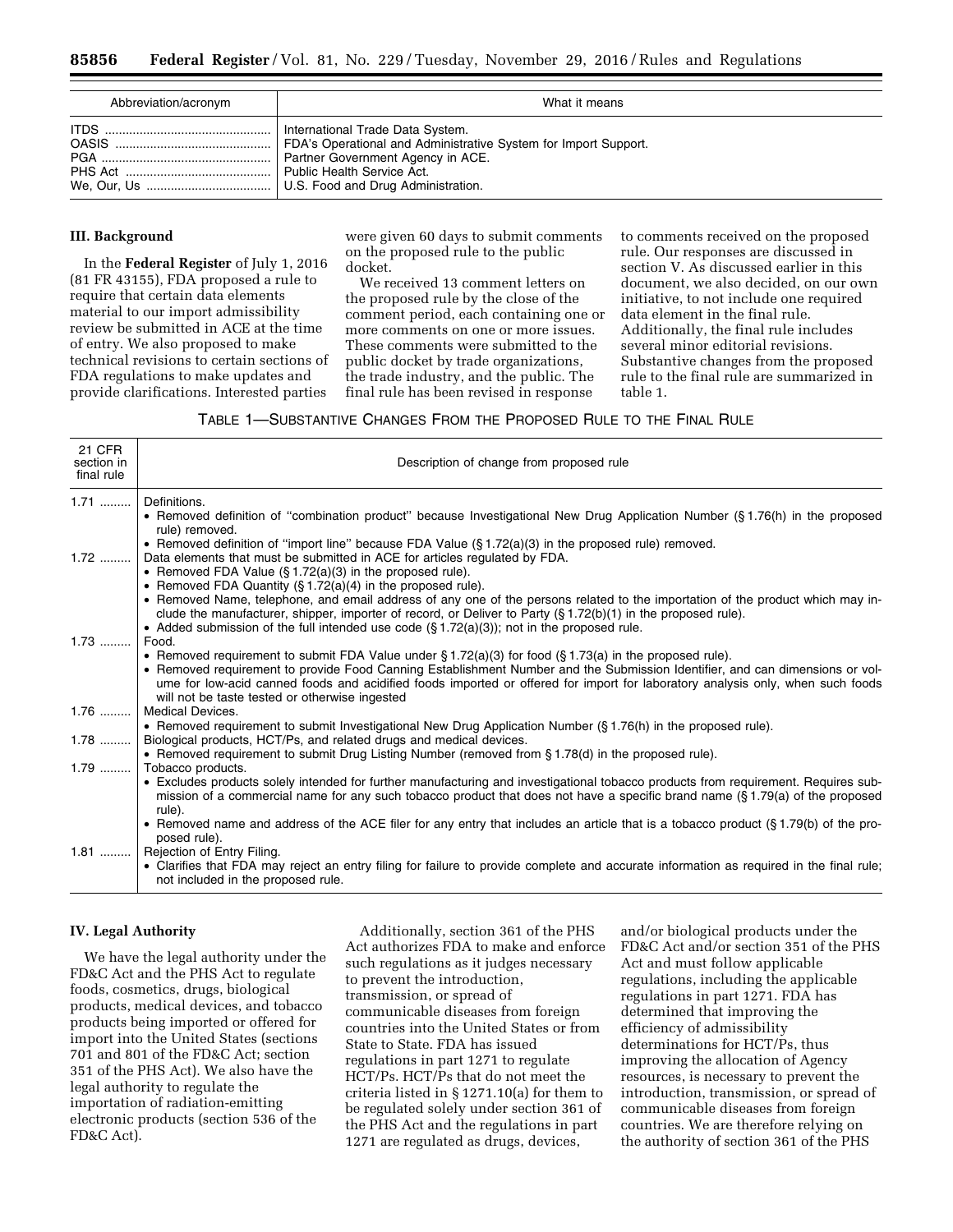| Abbreviation/acronym | What it means                                                                                                                                                          |
|----------------------|------------------------------------------------------------------------------------------------------------------------------------------------------------------------|
|                      | International Trade Data System.<br>FDA's Operational and Administrative System for Import Support.<br>Partner Government Agency in ACE.<br>Public Health Service Act. |

## **III. Background**

In the **Federal Register** of July 1, 2016 (81 FR 43155), FDA proposed a rule to require that certain data elements material to our import admissibility review be submitted in ACE at the time of entry. We also proposed to make technical revisions to certain sections of FDA regulations to make updates and provide clarifications. Interested parties

were given 60 days to submit comments on the proposed rule to the public docket.

We received 13 comment letters on the proposed rule by the close of the comment period, each containing one or more comments on one or more issues. These comments were submitted to the public docket by trade organizations, the trade industry, and the public. The final rule has been revised in response

to comments received on the proposed rule. Our responses are discussed in section V. As discussed earlier in this document, we also decided, on our own initiative, to not include one required data element in the final rule. Additionally, the final rule includes several minor editorial revisions. Substantive changes from the proposed rule to the final rule are summarized in table 1.

# TABLE 1—SUBSTANTIVE CHANGES FROM THE PROPOSED RULE TO THE FINAL RULE

| • Removed definition of "combination product" because Investigational New Drug Application Number (§1.76(h) in the proposed                                                                                                                                        |
|--------------------------------------------------------------------------------------------------------------------------------------------------------------------------------------------------------------------------------------------------------------------|
|                                                                                                                                                                                                                                                                    |
|                                                                                                                                                                                                                                                                    |
|                                                                                                                                                                                                                                                                    |
|                                                                                                                                                                                                                                                                    |
| • Removed Name, telephone, and email address of any one of the persons related to the importation of the product which may in-                                                                                                                                     |
|                                                                                                                                                                                                                                                                    |
|                                                                                                                                                                                                                                                                    |
|                                                                                                                                                                                                                                                                    |
| • Removed requirement to provide Food Canning Establishment Number and the Submission Identifier, and can dimensions or vol-<br>ume for low-acid canned foods and acidified foods imported or offered for import for laboratory analysis only, when such foods     |
|                                                                                                                                                                                                                                                                    |
|                                                                                                                                                                                                                                                                    |
|                                                                                                                                                                                                                                                                    |
|                                                                                                                                                                                                                                                                    |
|                                                                                                                                                                                                                                                                    |
| • Excludes products solely intended for further manufacturing and investigational tobacco products from requirement. Requires sub-<br>mission of a commercial name for any such tobacco product that does not have a specific brand name (§1.79(a) of the proposed |
| • Removed name and address of the ACE filer for any entry that includes an article that is a tobacco product (§1.79(b) of the pro-                                                                                                                                 |
|                                                                                                                                                                                                                                                                    |
| • Clarifies that FDA may reject an entry filing for failure to provide complete and accurate information as required in the final rule;                                                                                                                            |
|                                                                                                                                                                                                                                                                    |

# **IV. Legal Authority**

We have the legal authority under the FD&C Act and the PHS Act to regulate foods, cosmetics, drugs, biological products, medical devices, and tobacco products being imported or offered for import into the United States (sections 701 and 801 of the FD&C Act; section 351 of the PHS Act). We also have the legal authority to regulate the importation of radiation-emitting electronic products (section 536 of the FD&C Act).

Additionally, section 361 of the PHS Act authorizes FDA to make and enforce such regulations as it judges necessary to prevent the introduction, transmission, or spread of communicable diseases from foreign countries into the United States or from State to State. FDA has issued regulations in part 1271 to regulate HCT/Ps. HCT/Ps that do not meet the criteria listed in § 1271.10(a) for them to be regulated solely under section 361 of the PHS Act and the regulations in part 1271 are regulated as drugs, devices,

and/or biological products under the FD&C Act and/or section 351 of the PHS Act and must follow applicable regulations, including the applicable regulations in part 1271. FDA has determined that improving the efficiency of admissibility determinations for HCT/Ps, thus improving the allocation of Agency resources, is necessary to prevent the introduction, transmission, or spread of communicable diseases from foreign countries. We are therefore relying on the authority of section 361 of the PHS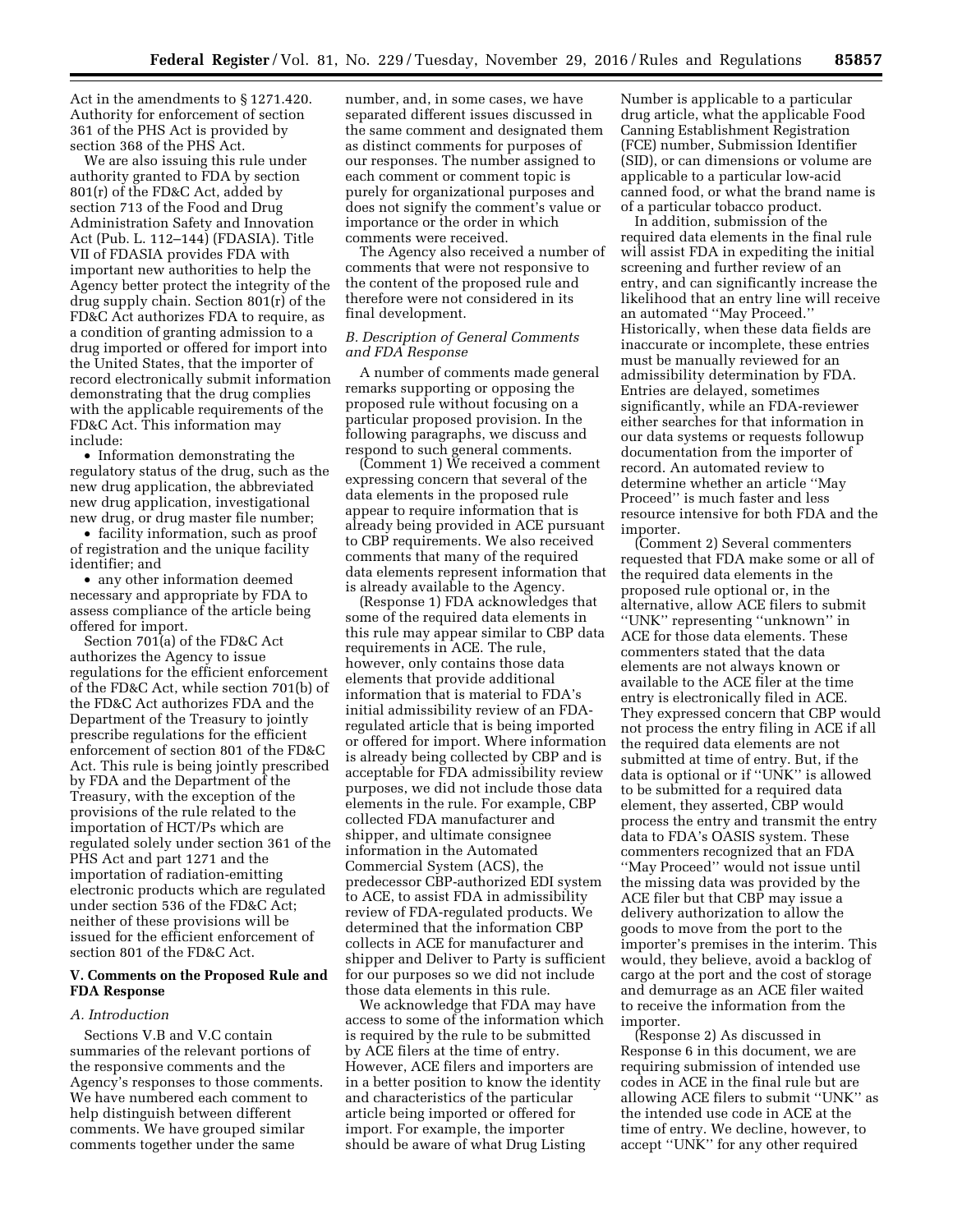Act in the amendments to § 1271.420. Authority for enforcement of section 361 of the PHS Act is provided by section 368 of the PHS Act.

We are also issuing this rule under authority granted to FDA by section 801(r) of the FD&C Act, added by section 713 of the Food and Drug Administration Safety and Innovation Act (Pub. L. 112–144) (FDASIA). Title VII of FDASIA provides FDA with important new authorities to help the Agency better protect the integrity of the drug supply chain. Section 801(r) of the FD&C Act authorizes FDA to require, as a condition of granting admission to a drug imported or offered for import into the United States, that the importer of record electronically submit information demonstrating that the drug complies with the applicable requirements of the FD&C Act. This information may include:

• Information demonstrating the regulatory status of the drug, such as the new drug application, the abbreviated new drug application, investigational new drug, or drug master file number;

• facility information, such as proof of registration and the unique facility identifier; and

• any other information deemed necessary and appropriate by FDA to assess compliance of the article being offered for import.

Section 701(a) of the FD&C Act authorizes the Agency to issue regulations for the efficient enforcement of the FD&C Act, while section 701(b) of the FD&C Act authorizes FDA and the Department of the Treasury to jointly prescribe regulations for the efficient enforcement of section 801 of the FD&C Act. This rule is being jointly prescribed by FDA and the Department of the Treasury, with the exception of the provisions of the rule related to the importation of HCT/Ps which are regulated solely under section 361 of the PHS Act and part 1271 and the importation of radiation-emitting electronic products which are regulated under section 536 of the FD&C Act; neither of these provisions will be issued for the efficient enforcement of section 801 of the FD&C Act.

# **V. Comments on the Proposed Rule and FDA Response**

#### *A. Introduction*

Sections V.B and V.C contain summaries of the relevant portions of the responsive comments and the Agency's responses to those comments. We have numbered each comment to help distinguish between different comments. We have grouped similar comments together under the same

number, and, in some cases, we have separated different issues discussed in the same comment and designated them as distinct comments for purposes of our responses. The number assigned to each comment or comment topic is purely for organizational purposes and does not signify the comment's value or importance or the order in which comments were received.

The Agency also received a number of comments that were not responsive to the content of the proposed rule and therefore were not considered in its final development.

## *B. Description of General Comments and FDA Response*

A number of comments made general remarks supporting or opposing the proposed rule without focusing on a particular proposed provision. In the following paragraphs, we discuss and respond to such general comments.

(Comment 1) We received a comment expressing concern that several of the data elements in the proposed rule appear to require information that is already being provided in ACE pursuant to CBP requirements. We also received comments that many of the required data elements represent information that is already available to the Agency.

(Response 1) FDA acknowledges that some of the required data elements in this rule may appear similar to CBP data requirements in ACE. The rule, however, only contains those data elements that provide additional information that is material to FDA's initial admissibility review of an FDAregulated article that is being imported or offered for import. Where information is already being collected by CBP and is acceptable for FDA admissibility review purposes, we did not include those data elements in the rule. For example, CBP collected FDA manufacturer and shipper, and ultimate consignee information in the Automated Commercial System (ACS), the predecessor CBP-authorized EDI system to ACE, to assist FDA in admissibility review of FDA-regulated products. We determined that the information CBP collects in ACE for manufacturer and shipper and Deliver to Party is sufficient for our purposes so we did not include those data elements in this rule.

We acknowledge that FDA may have access to some of the information which is required by the rule to be submitted by ACE filers at the time of entry. However, ACE filers and importers are in a better position to know the identity and characteristics of the particular article being imported or offered for import. For example, the importer should be aware of what Drug Listing

Number is applicable to a particular drug article, what the applicable Food Canning Establishment Registration (FCE) number, Submission Identifier (SID), or can dimensions or volume are applicable to a particular low-acid canned food, or what the brand name is of a particular tobacco product.

In addition, submission of the required data elements in the final rule will assist FDA in expediting the initial screening and further review of an entry, and can significantly increase the likelihood that an entry line will receive an automated ''May Proceed.'' Historically, when these data fields are inaccurate or incomplete, these entries must be manually reviewed for an admissibility determination by FDA. Entries are delayed, sometimes significantly, while an FDA-reviewer either searches for that information in our data systems or requests followup documentation from the importer of record. An automated review to determine whether an article ''May Proceed'' is much faster and less resource intensive for both FDA and the importer.

(Comment 2) Several commenters requested that FDA make some or all of the required data elements in the proposed rule optional or, in the alternative, allow ACE filers to submit ''UNK'' representing ''unknown'' in ACE for those data elements. These commenters stated that the data elements are not always known or available to the ACE filer at the time entry is electronically filed in ACE. They expressed concern that CBP would not process the entry filing in ACE if all the required data elements are not submitted at time of entry. But, if the data is optional or if ''UNK'' is allowed to be submitted for a required data element, they asserted, CBP would process the entry and transmit the entry data to FDA's OASIS system. These commenters recognized that an FDA ''May Proceed'' would not issue until the missing data was provided by the ACE filer but that CBP may issue a delivery authorization to allow the goods to move from the port to the importer's premises in the interim. This would, they believe, avoid a backlog of cargo at the port and the cost of storage and demurrage as an ACE filer waited to receive the information from the importer.

(Response 2) As discussed in Response 6 in this document, we are requiring submission of intended use codes in ACE in the final rule but are allowing ACE filers to submit ''UNK'' as the intended use code in ACE at the time of entry. We decline, however, to accept ''UNK'' for any other required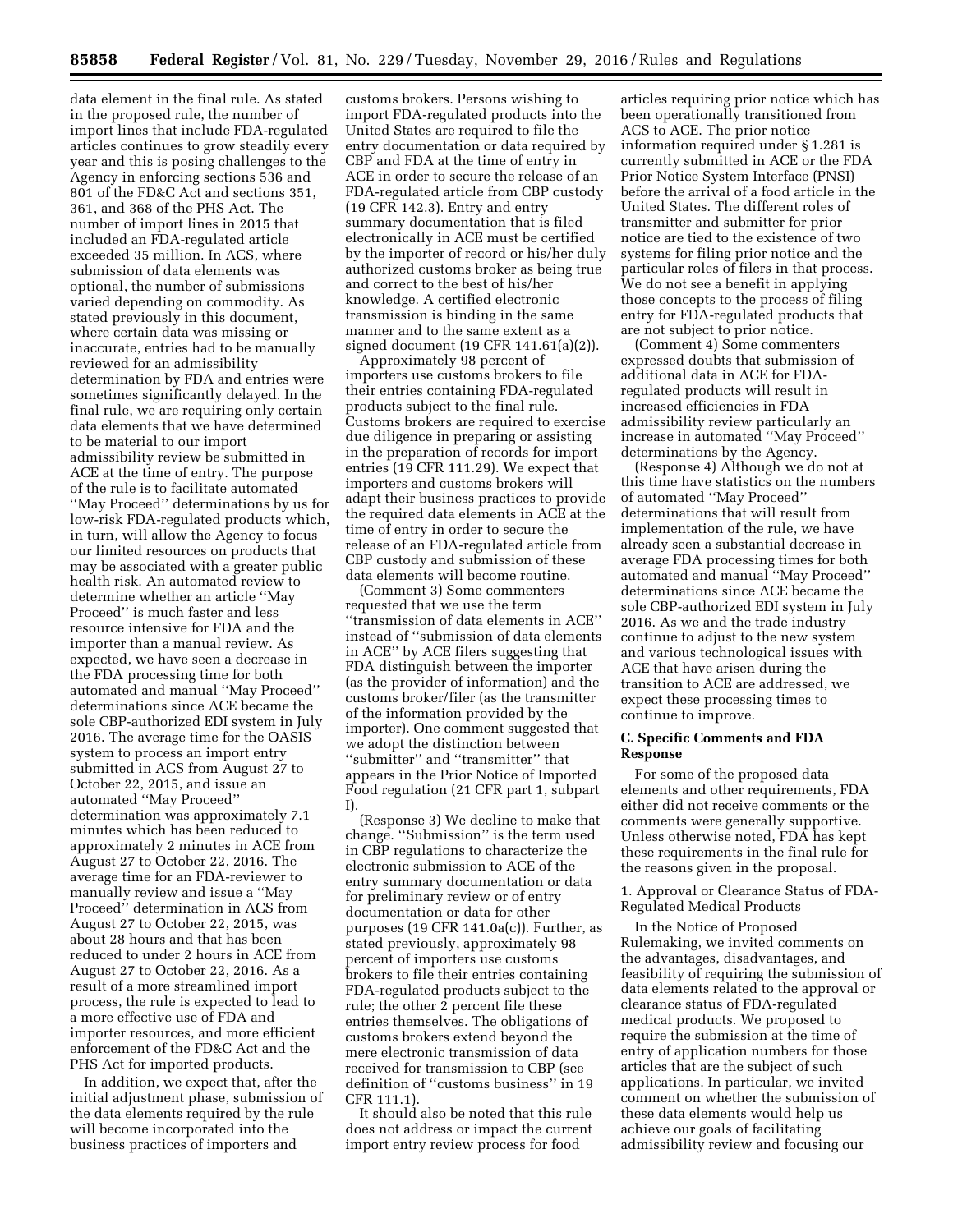data element in the final rule. As stated in the proposed rule, the number of import lines that include FDA-regulated articles continues to grow steadily every year and this is posing challenges to the Agency in enforcing sections 536 and 801 of the FD&C Act and sections 351, 361, and 368 of the PHS Act. The number of import lines in 2015 that included an FDA-regulated article exceeded 35 million. In ACS, where submission of data elements was optional, the number of submissions varied depending on commodity. As stated previously in this document, where certain data was missing or inaccurate, entries had to be manually reviewed for an admissibility determination by FDA and entries were sometimes significantly delayed. In the final rule, we are requiring only certain data elements that we have determined to be material to our import admissibility review be submitted in ACE at the time of entry. The purpose of the rule is to facilitate automated ''May Proceed'' determinations by us for low-risk FDA-regulated products which, in turn, will allow the Agency to focus our limited resources on products that may be associated with a greater public health risk. An automated review to determine whether an article ''May Proceed'' is much faster and less resource intensive for FDA and the importer than a manual review. As expected, we have seen a decrease in the FDA processing time for both automated and manual ''May Proceed'' determinations since ACE became the sole CBP-authorized EDI system in July 2016. The average time for the OASIS system to process an import entry submitted in ACS from August 27 to October 22, 2015, and issue an automated ''May Proceed'' determination was approximately 7.1 minutes which has been reduced to approximately 2 minutes in ACE from August 27 to October 22, 2016. The average time for an FDA-reviewer to manually review and issue a ''May Proceed'' determination in ACS from August 27 to October 22, 2015, was about 28 hours and that has been reduced to under 2 hours in ACE from August 27 to October 22, 2016. As a result of a more streamlined import process, the rule is expected to lead to a more effective use of FDA and importer resources, and more efficient enforcement of the FD&C Act and the PHS Act for imported products.

In addition, we expect that, after the initial adjustment phase, submission of the data elements required by the rule will become incorporated into the business practices of importers and

customs brokers. Persons wishing to import FDA-regulated products into the United States are required to file the entry documentation or data required by CBP and FDA at the time of entry in ACE in order to secure the release of an FDA-regulated article from CBP custody (19 CFR 142.3). Entry and entry summary documentation that is filed electronically in ACE must be certified by the importer of record or his/her duly authorized customs broker as being true and correct to the best of his/her knowledge. A certified electronic transmission is binding in the same manner and to the same extent as a signed document (19 CFR 141.61(a)(2)).

Approximately 98 percent of importers use customs brokers to file their entries containing FDA-regulated products subject to the final rule. Customs brokers are required to exercise due diligence in preparing or assisting in the preparation of records for import entries (19 CFR 111.29). We expect that importers and customs brokers will adapt their business practices to provide the required data elements in ACE at the time of entry in order to secure the release of an FDA-regulated article from CBP custody and submission of these data elements will become routine.

(Comment 3) Some commenters requested that we use the term ''transmission of data elements in ACE'' instead of ''submission of data elements in ACE'' by ACE filers suggesting that FDA distinguish between the importer (as the provider of information) and the customs broker/filer (as the transmitter of the information provided by the importer). One comment suggested that we adopt the distinction between ''submitter'' and ''transmitter'' that appears in the Prior Notice of Imported Food regulation (21 CFR part 1, subpart I).

(Response 3) We decline to make that change. ''Submission'' is the term used in CBP regulations to characterize the electronic submission to ACE of the entry summary documentation or data for preliminary review or of entry documentation or data for other purposes (19 CFR 141.0a(c)). Further, as stated previously, approximately 98 percent of importers use customs brokers to file their entries containing FDA-regulated products subject to the rule; the other 2 percent file these entries themselves. The obligations of customs brokers extend beyond the mere electronic transmission of data received for transmission to CBP (see definition of ''customs business'' in 19 CFR 111.1).

It should also be noted that this rule does not address or impact the current import entry review process for food

articles requiring prior notice which has been operationally transitioned from ACS to ACE. The prior notice information required under § 1.281 is currently submitted in ACE or the FDA Prior Notice System Interface (PNSI) before the arrival of a food article in the United States. The different roles of transmitter and submitter for prior notice are tied to the existence of two systems for filing prior notice and the particular roles of filers in that process. We do not see a benefit in applying those concepts to the process of filing entry for FDA-regulated products that are not subject to prior notice.

(Comment 4) Some commenters expressed doubts that submission of additional data in ACE for FDAregulated products will result in increased efficiencies in FDA admissibility review particularly an increase in automated ''May Proceed'' determinations by the Agency.

(Response 4) Although we do not at this time have statistics on the numbers of automated ''May Proceed'' determinations that will result from implementation of the rule, we have already seen a substantial decrease in average FDA processing times for both automated and manual ''May Proceed'' determinations since ACE became the sole CBP-authorized EDI system in July 2016. As we and the trade industry continue to adjust to the new system and various technological issues with ACE that have arisen during the transition to ACE are addressed, we expect these processing times to continue to improve.

## **C. Specific Comments and FDA Response**

For some of the proposed data elements and other requirements, FDA either did not receive comments or the comments were generally supportive. Unless otherwise noted, FDA has kept these requirements in the final rule for the reasons given in the proposal.

1. Approval or Clearance Status of FDA-Regulated Medical Products

In the Notice of Proposed Rulemaking, we invited comments on the advantages, disadvantages, and feasibility of requiring the submission of data elements related to the approval or clearance status of FDA-regulated medical products. We proposed to require the submission at the time of entry of application numbers for those articles that are the subject of such applications. In particular, we invited comment on whether the submission of these data elements would help us achieve our goals of facilitating admissibility review and focusing our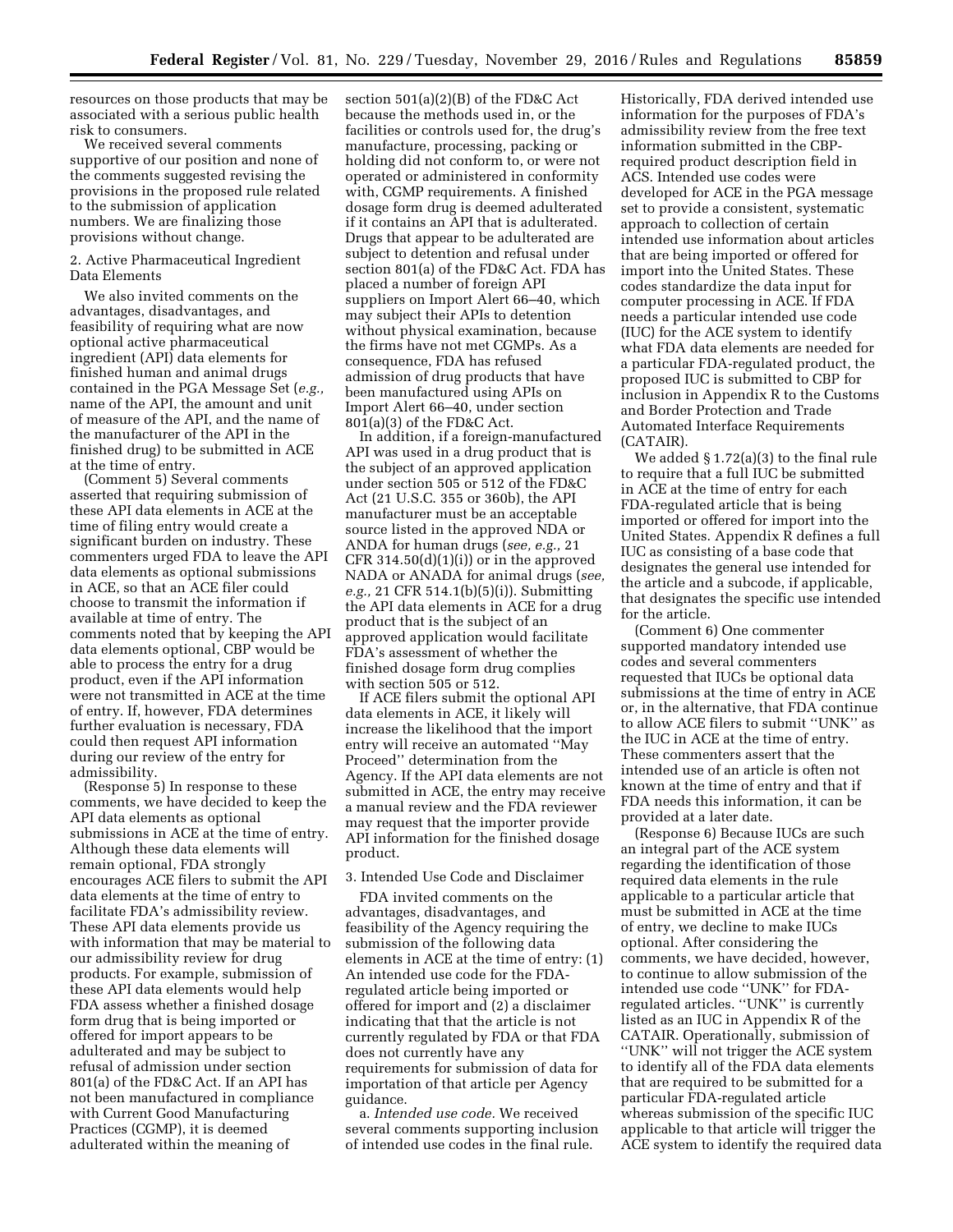resources on those products that may be associated with a serious public health risk to consumers.

We received several comments supportive of our position and none of the comments suggested revising the provisions in the proposed rule related to the submission of application numbers. We are finalizing those provisions without change.

#### 2. Active Pharmaceutical Ingredient Data Elements

We also invited comments on the advantages, disadvantages, and feasibility of requiring what are now optional active pharmaceutical ingredient (API) data elements for finished human and animal drugs contained in the PGA Message Set (*e.g.,*  name of the API, the amount and unit of measure of the API, and the name of the manufacturer of the API in the finished drug) to be submitted in ACE at the time of entry.

(Comment 5) Several comments asserted that requiring submission of these API data elements in ACE at the time of filing entry would create a significant burden on industry. These commenters urged FDA to leave the API data elements as optional submissions in ACE, so that an ACE filer could choose to transmit the information if available at time of entry. The comments noted that by keeping the API data elements optional, CBP would be able to process the entry for a drug product, even if the API information were not transmitted in ACE at the time of entry. If, however, FDA determines further evaluation is necessary, FDA could then request API information during our review of the entry for admissibility.

(Response 5) In response to these comments, we have decided to keep the API data elements as optional submissions in ACE at the time of entry. Although these data elements will remain optional, FDA strongly encourages ACE filers to submit the API data elements at the time of entry to facilitate FDA's admissibility review. These API data elements provide us with information that may be material to our admissibility review for drug products. For example, submission of these API data elements would help FDA assess whether a finished dosage form drug that is being imported or offered for import appears to be adulterated and may be subject to refusal of admission under section 801(a) of the FD&C Act. If an API has not been manufactured in compliance with Current Good Manufacturing Practices (CGMP), it is deemed adulterated within the meaning of

section 501(a)(2)(B) of the FD&C Act because the methods used in, or the facilities or controls used for, the drug's manufacture, processing, packing or holding did not conform to, or were not operated or administered in conformity with, CGMP requirements. A finished dosage form drug is deemed adulterated if it contains an API that is adulterated. Drugs that appear to be adulterated are subject to detention and refusal under section 801(a) of the FD&C Act. FDA has placed a number of foreign API suppliers on Import Alert 66–40, which may subject their APIs to detention without physical examination, because the firms have not met CGMPs. As a consequence, FDA has refused admission of drug products that have been manufactured using APIs on Import Alert 66–40, under section  $801(a)(3)$  of the FD&C Act.

In addition, if a foreign-manufactured API was used in a drug product that is the subject of an approved application under section 505 or 512 of the FD&C Act (21 U.S.C. 355 or 360b), the API manufacturer must be an acceptable source listed in the approved NDA or ANDA for human drugs (*see, e.g.,* 21 CFR 314.50(d)(1)(i)) or in the approved NADA or ANADA for animal drugs (*see, e.g.,* 21 CFR 514.1(b)(5)(i)). Submitting the API data elements in ACE for a drug product that is the subject of an approved application would facilitate FDA's assessment of whether the finished dosage form drug complies with section 505 or 512.

If ACE filers submit the optional API data elements in ACE, it likely will increase the likelihood that the import entry will receive an automated ''May Proceed'' determination from the Agency. If the API data elements are not submitted in ACE, the entry may receive a manual review and the FDA reviewer may request that the importer provide API information for the finished dosage product.

#### 3. Intended Use Code and Disclaimer

FDA invited comments on the advantages, disadvantages, and feasibility of the Agency requiring the submission of the following data elements in ACE at the time of entry: (1) An intended use code for the FDAregulated article being imported or offered for import and (2) a disclaimer indicating that that the article is not currently regulated by FDA or that FDA does not currently have any requirements for submission of data for importation of that article per Agency guidance.

a. *Intended use code.* We received several comments supporting inclusion of intended use codes in the final rule.

Historically, FDA derived intended use information for the purposes of FDA's admissibility review from the free text information submitted in the CBPrequired product description field in ACS. Intended use codes were developed for ACE in the PGA message set to provide a consistent, systematic approach to collection of certain intended use information about articles that are being imported or offered for import into the United States. These codes standardize the data input for computer processing in ACE. If FDA needs a particular intended use code (IUC) for the ACE system to identify what FDA data elements are needed for a particular FDA-regulated product, the proposed IUC is submitted to CBP for inclusion in Appendix R to the Customs and Border Protection and Trade Automated Interface Requirements (CATAIR).

We added § 1.72(a)(3) to the final rule to require that a full IUC be submitted in ACE at the time of entry for each FDA-regulated article that is being imported or offered for import into the United States. Appendix R defines a full IUC as consisting of a base code that designates the general use intended for the article and a subcode, if applicable, that designates the specific use intended for the article.

(Comment 6) One commenter supported mandatory intended use codes and several commenters requested that IUCs be optional data submissions at the time of entry in ACE or, in the alternative, that FDA continue to allow ACE filers to submit ''UNK'' as the IUC in ACE at the time of entry. These commenters assert that the intended use of an article is often not known at the time of entry and that if FDA needs this information, it can be provided at a later date.

(Response 6) Because IUCs are such an integral part of the ACE system regarding the identification of those required data elements in the rule applicable to a particular article that must be submitted in ACE at the time of entry, we decline to make IUCs optional. After considering the comments, we have decided, however, to continue to allow submission of the intended use code ''UNK'' for FDAregulated articles. ''UNK'' is currently listed as an IUC in Appendix R of the CATAIR. Operationally, submission of ''UNK'' will not trigger the ACE system to identify all of the FDA data elements that are required to be submitted for a particular FDA-regulated article whereas submission of the specific IUC applicable to that article will trigger the ACE system to identify the required data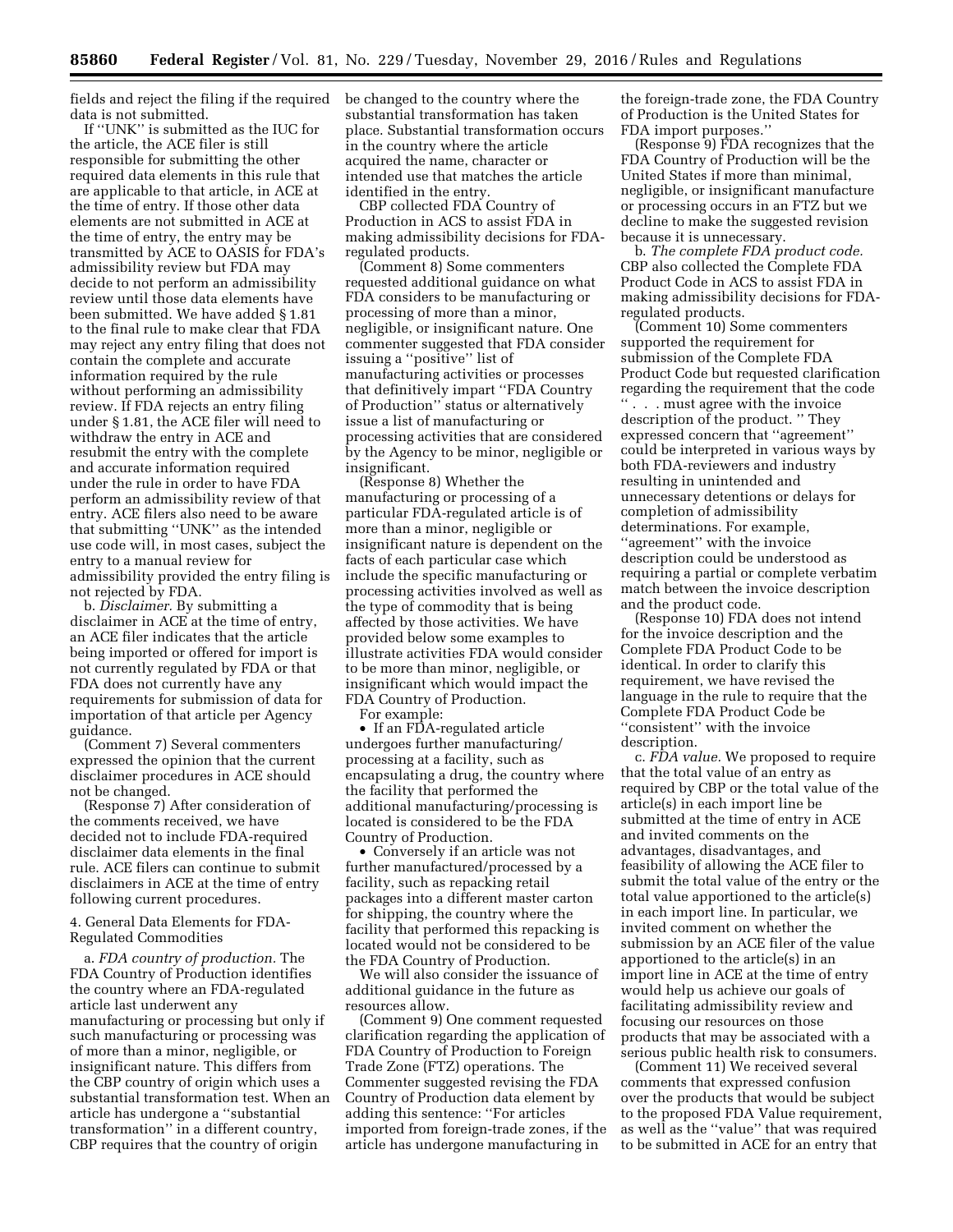fields and reject the filing if the required data is not submitted.

If ''UNK'' is submitted as the IUC for the article, the ACE filer is still responsible for submitting the other required data elements in this rule that are applicable to that article, in ACE at the time of entry. If those other data elements are not submitted in ACE at the time of entry, the entry may be transmitted by ACE to OASIS for FDA's admissibility review but FDA may decide to not perform an admissibility review until those data elements have been submitted. We have added § 1.81 to the final rule to make clear that FDA may reject any entry filing that does not contain the complete and accurate information required by the rule without performing an admissibility review. If FDA rejects an entry filing under § 1.81, the ACE filer will need to withdraw the entry in ACE and resubmit the entry with the complete and accurate information required under the rule in order to have FDA perform an admissibility review of that entry. ACE filers also need to be aware that submitting ''UNK'' as the intended use code will, in most cases, subject the entry to a manual review for admissibility provided the entry filing is not rejected by FDA.

b. *Disclaimer.* By submitting a disclaimer in ACE at the time of entry, an ACE filer indicates that the article being imported or offered for import is not currently regulated by FDA or that FDA does not currently have any requirements for submission of data for importation of that article per Agency guidance.

(Comment 7) Several commenters expressed the opinion that the current disclaimer procedures in ACE should not be changed.

(Response 7) After consideration of the comments received, we have decided not to include FDA-required disclaimer data elements in the final rule. ACE filers can continue to submit disclaimers in ACE at the time of entry following current procedures.

4. General Data Elements for FDA-Regulated Commodities

a. *FDA country of production.* The FDA Country of Production identifies the country where an FDA-regulated article last underwent any manufacturing or processing but only if such manufacturing or processing was of more than a minor, negligible, or insignificant nature. This differs from the CBP country of origin which uses a substantial transformation test. When an article has undergone a ''substantial transformation'' in a different country, CBP requires that the country of origin

be changed to the country where the substantial transformation has taken place. Substantial transformation occurs in the country where the article acquired the name, character or intended use that matches the article identified in the entry.

CBP collected FDA Country of Production in ACS to assist FDA in making admissibility decisions for FDAregulated products.

(Comment 8) Some commenters requested additional guidance on what FDA considers to be manufacturing or processing of more than a minor, negligible, or insignificant nature. One commenter suggested that FDA consider issuing a ''positive'' list of manufacturing activities or processes that definitively impart ''FDA Country of Production'' status or alternatively issue a list of manufacturing or processing activities that are considered by the Agency to be minor, negligible or insignificant.

(Response 8) Whether the manufacturing or processing of a particular FDA-regulated article is of more than a minor, negligible or insignificant nature is dependent on the facts of each particular case which include the specific manufacturing or processing activities involved as well as the type of commodity that is being affected by those activities. We have provided below some examples to illustrate activities FDA would consider to be more than minor, negligible, or insignificant which would impact the FDA Country of Production.

For example:

• If an FDA-regulated article undergoes further manufacturing/ processing at a facility, such as encapsulating a drug, the country where the facility that performed the additional manufacturing/processing is located is considered to be the FDA Country of Production.

• Conversely if an article was not further manufactured/processed by a facility, such as repacking retail packages into a different master carton for shipping, the country where the facility that performed this repacking is located would not be considered to be the FDA Country of Production.

We will also consider the issuance of additional guidance in the future as resources allow.

(Comment 9) One comment requested clarification regarding the application of FDA Country of Production to Foreign Trade Zone (FTZ) operations. The Commenter suggested revising the FDA Country of Production data element by adding this sentence: ''For articles imported from foreign-trade zones, if the article has undergone manufacturing in

the foreign-trade zone, the FDA Country of Production is the United States for FDA import purposes.''

(Response 9) FDA recognizes that the FDA Country of Production will be the United States if more than minimal, negligible, or insignificant manufacture or processing occurs in an FTZ but we decline to make the suggested revision because it is unnecessary.

b. *The complete FDA product code.*  CBP also collected the Complete FDA Product Code in ACS to assist FDA in making admissibility decisions for FDAregulated products.

(Comment 10) Some commenters supported the requirement for submission of the Complete FDA Product Code but requested clarification regarding the requirement that the code '' . . . must agree with the invoice description of the product. '' They expressed concern that ''agreement'' could be interpreted in various ways by both FDA-reviewers and industry resulting in unintended and unnecessary detentions or delays for completion of admissibility determinations. For example, ''agreement'' with the invoice description could be understood as requiring a partial or complete verbatim match between the invoice description and the product code.

(Response 10) FDA does not intend for the invoice description and the Complete FDA Product Code to be identical. In order to clarify this requirement, we have revised the language in the rule to require that the Complete FDA Product Code be ''consistent'' with the invoice description.

c. *FDA value.* We proposed to require that the total value of an entry as required by CBP or the total value of the article(s) in each import line be submitted at the time of entry in ACE and invited comments on the advantages, disadvantages, and feasibility of allowing the ACE filer to submit the total value of the entry or the total value apportioned to the article(s) in each import line. In particular, we invited comment on whether the submission by an ACE filer of the value apportioned to the article(s) in an import line in ACE at the time of entry would help us achieve our goals of facilitating admissibility review and focusing our resources on those products that may be associated with a serious public health risk to consumers.

(Comment 11) We received several comments that expressed confusion over the products that would be subject to the proposed FDA Value requirement, as well as the ''value'' that was required to be submitted in ACE for an entry that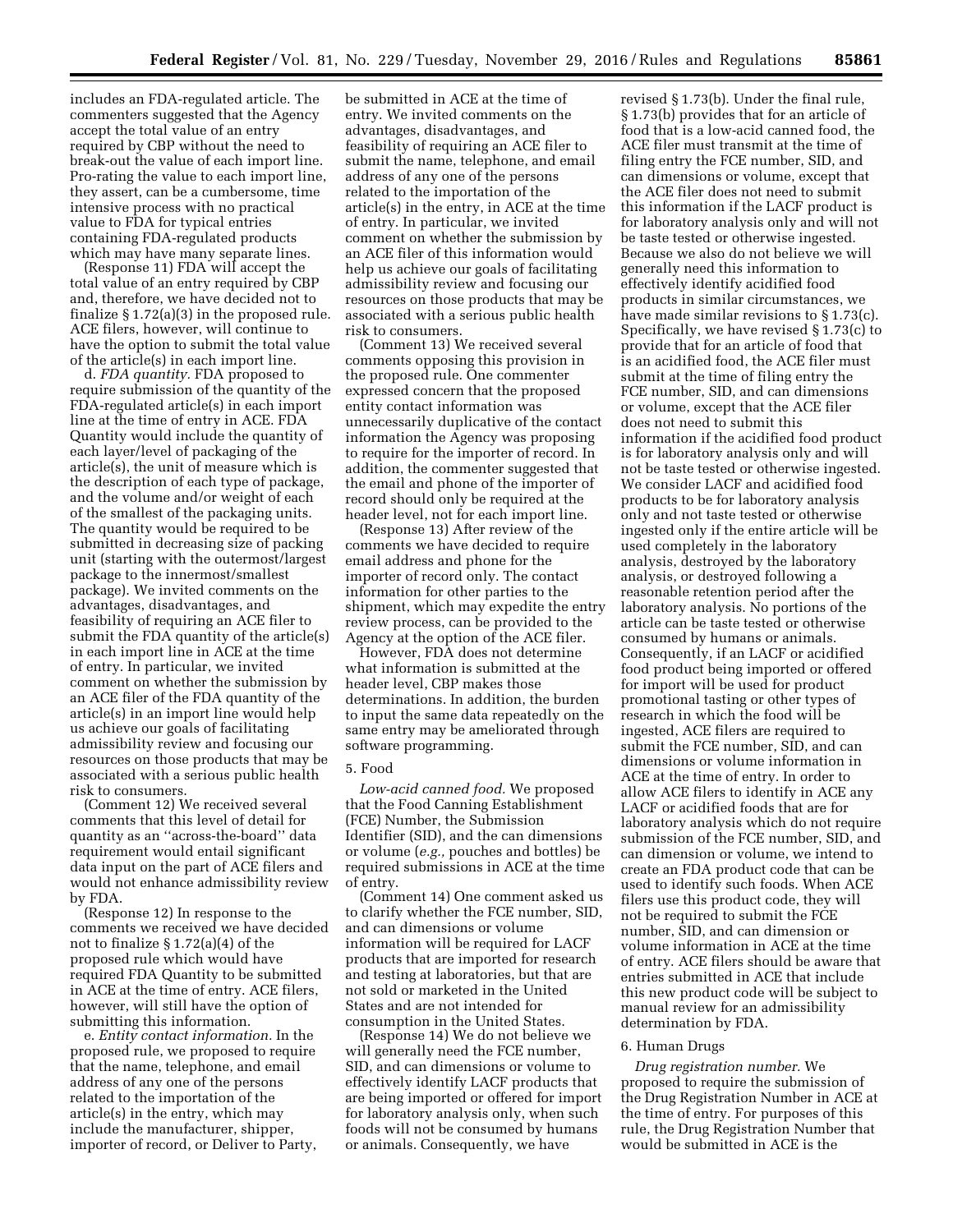includes an FDA-regulated article. The commenters suggested that the Agency accept the total value of an entry required by CBP without the need to break-out the value of each import line. Pro-rating the value to each import line, they assert, can be a cumbersome, time intensive process with no practical value to FDA for typical entries containing FDA-regulated products which may have many separate lines.

(Response 11) FDA will accept the total value of an entry required by CBP and, therefore, we have decided not to finalize § 1.72(a)(3) in the proposed rule. ACE filers, however, will continue to have the option to submit the total value of the article(s) in each import line.

d. *FDA quantity.* FDA proposed to require submission of the quantity of the FDA-regulated article(s) in each import line at the time of entry in ACE. FDA Quantity would include the quantity of each layer/level of packaging of the article(s), the unit of measure which is the description of each type of package, and the volume and/or weight of each of the smallest of the packaging units. The quantity would be required to be submitted in decreasing size of packing unit (starting with the outermost/largest package to the innermost/smallest package). We invited comments on the advantages, disadvantages, and feasibility of requiring an ACE filer to submit the FDA quantity of the article(s) in each import line in ACE at the time of entry. In particular, we invited comment on whether the submission by an ACE filer of the FDA quantity of the article(s) in an import line would help us achieve our goals of facilitating admissibility review and focusing our resources on those products that may be associated with a serious public health risk to consumers.

(Comment 12) We received several comments that this level of detail for quantity as an ''across-the-board'' data requirement would entail significant data input on the part of ACE filers and would not enhance admissibility review by FDA.

(Response 12) In response to the comments we received we have decided not to finalize § 1.72(a)(4) of the proposed rule which would have required FDA Quantity to be submitted in ACE at the time of entry. ACE filers, however, will still have the option of submitting this information.

e. *Entity contact information.* In the proposed rule, we proposed to require that the name, telephone, and email address of any one of the persons related to the importation of the article(s) in the entry, which may include the manufacturer, shipper, importer of record, or Deliver to Party, be submitted in ACE at the time of entry. We invited comments on the advantages, disadvantages, and feasibility of requiring an ACE filer to submit the name, telephone, and email address of any one of the persons related to the importation of the article(s) in the entry, in ACE at the time of entry. In particular, we invited comment on whether the submission by an ACE filer of this information would help us achieve our goals of facilitating admissibility review and focusing our resources on those products that may be associated with a serious public health risk to consumers.

(Comment 13) We received several comments opposing this provision in the proposed rule. One commenter expressed concern that the proposed entity contact information was unnecessarily duplicative of the contact information the Agency was proposing to require for the importer of record. In addition, the commenter suggested that the email and phone of the importer of record should only be required at the header level, not for each import line.

(Response 13) After review of the comments we have decided to require email address and phone for the importer of record only. The contact information for other parties to the shipment, which may expedite the entry review process, can be provided to the Agency at the option of the ACE filer.

However, FDA does not determine what information is submitted at the header level, CBP makes those determinations. In addition, the burden to input the same data repeatedly on the same entry may be ameliorated through software programming.

## 5. Food

*Low-acid canned food.* We proposed that the Food Canning Establishment (FCE) Number, the Submission Identifier (SID), and the can dimensions or volume (*e.g.,* pouches and bottles) be required submissions in ACE at the time of entry.

(Comment 14) One comment asked us to clarify whether the FCE number, SID, and can dimensions or volume information will be required for LACF products that are imported for research and testing at laboratories, but that are not sold or marketed in the United States and are not intended for consumption in the United States.

(Response 14) We do not believe we will generally need the FCE number, SID, and can dimensions or volume to effectively identify LACF products that are being imported or offered for import for laboratory analysis only, when such foods will not be consumed by humans or animals. Consequently, we have

revised § 1.73(b). Under the final rule, § 1.73(b) provides that for an article of food that is a low-acid canned food, the ACE filer must transmit at the time of filing entry the FCE number, SID, and can dimensions or volume, except that the ACE filer does not need to submit this information if the LACF product is for laboratory analysis only and will not be taste tested or otherwise ingested. Because we also do not believe we will generally need this information to effectively identify acidified food products in similar circumstances, we have made similar revisions to § 1.73(c). Specifically, we have revised § 1.73(c) to provide that for an article of food that is an acidified food, the ACE filer must submit at the time of filing entry the FCE number, SID, and can dimensions or volume, except that the ACE filer does not need to submit this information if the acidified food product is for laboratory analysis only and will not be taste tested or otherwise ingested. We consider LACF and acidified food products to be for laboratory analysis only and not taste tested or otherwise ingested only if the entire article will be used completely in the laboratory analysis, destroyed by the laboratory analysis, or destroyed following a reasonable retention period after the laboratory analysis. No portions of the article can be taste tested or otherwise consumed by humans or animals. Consequently, if an LACF or acidified food product being imported or offered for import will be used for product promotional tasting or other types of research in which the food will be ingested, ACE filers are required to submit the FCE number, SID, and can dimensions or volume information in ACE at the time of entry. In order to allow ACE filers to identify in ACE any LACF or acidified foods that are for laboratory analysis which do not require submission of the FCE number, SID, and can dimension or volume, we intend to create an FDA product code that can be used to identify such foods. When ACE filers use this product code, they will not be required to submit the FCE number, SID, and can dimension or volume information in ACE at the time of entry. ACE filers should be aware that entries submitted in ACE that include this new product code will be subject to manual review for an admissibility determination by FDA.

#### 6. Human Drugs

*Drug registration number.* We proposed to require the submission of the Drug Registration Number in ACE at the time of entry. For purposes of this rule, the Drug Registration Number that would be submitted in ACE is the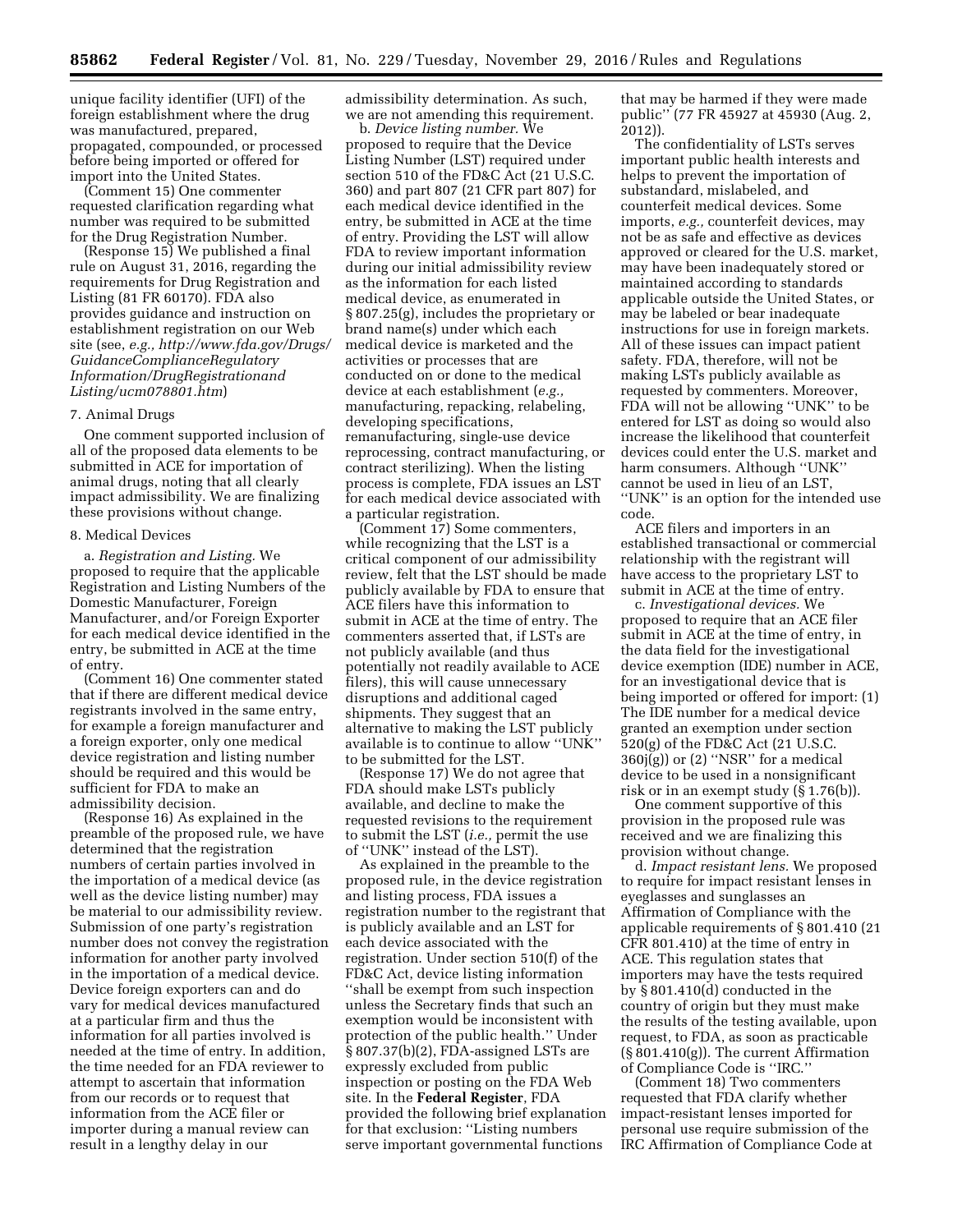unique facility identifier (UFI) of the foreign establishment where the drug was manufactured, prepared, propagated, compounded, or processed before being imported or offered for import into the United States.

(Comment 15) One commenter requested clarification regarding what number was required to be submitted for the Drug Registration Number.

(Response 15) We published a final rule on August 31, 2016, regarding the requirements for Drug Registration and Listing (81 FR 60170). FDA also provides guidance and instruction on establishment registration on our Web site (see, *e.g., [http://www.fda.gov/Drugs/](http://www.fda.gov/Drugs/GuidanceComplianceRegulatoryInformation/DrugRegistrationandListing/ucm078801.htm)  [GuidanceComplianceRegulatory](http://www.fda.gov/Drugs/GuidanceComplianceRegulatoryInformation/DrugRegistrationandListing/ucm078801.htm) [Information/DrugRegistrationand](http://www.fda.gov/Drugs/GuidanceComplianceRegulatoryInformation/DrugRegistrationandListing/ucm078801.htm) [Listing/ucm078801.htm](http://www.fda.gov/Drugs/GuidanceComplianceRegulatoryInformation/DrugRegistrationandListing/ucm078801.htm)*)

#### 7. Animal Drugs

One comment supported inclusion of all of the proposed data elements to be submitted in ACE for importation of animal drugs, noting that all clearly impact admissibility. We are finalizing these provisions without change.

### 8. Medical Devices

a. *Registration and Listing.* We proposed to require that the applicable Registration and Listing Numbers of the Domestic Manufacturer, Foreign Manufacturer, and/or Foreign Exporter for each medical device identified in the entry, be submitted in ACE at the time of entry.

(Comment 16) One commenter stated that if there are different medical device registrants involved in the same entry, for example a foreign manufacturer and a foreign exporter, only one medical device registration and listing number should be required and this would be sufficient for FDA to make an admissibility decision.

(Response 16) As explained in the preamble of the proposed rule, we have determined that the registration numbers of certain parties involved in the importation of a medical device (as well as the device listing number) may be material to our admissibility review. Submission of one party's registration number does not convey the registration information for another party involved in the importation of a medical device. Device foreign exporters can and do vary for medical devices manufactured at a particular firm and thus the information for all parties involved is needed at the time of entry. In addition, the time needed for an FDA reviewer to attempt to ascertain that information from our records or to request that information from the ACE filer or importer during a manual review can result in a lengthy delay in our

admissibility determination. As such, we are not amending this requirement.

b. *Device listing number.* We proposed to require that the Device Listing Number (LST) required under section 510 of the FD&C Act (21 U.S.C. 360) and part 807 (21 CFR part 807) for each medical device identified in the entry, be submitted in ACE at the time of entry. Providing the LST will allow FDA to review important information during our initial admissibility review as the information for each listed medical device, as enumerated in § 807.25(g), includes the proprietary or brand name(s) under which each medical device is marketed and the activities or processes that are conducted on or done to the medical device at each establishment (*e.g.,*  manufacturing, repacking, relabeling, developing specifications, remanufacturing, single-use device reprocessing, contract manufacturing, or contract sterilizing). When the listing process is complete, FDA issues an LST for each medical device associated with a particular registration.

(Comment 17) Some commenters, while recognizing that the LST is a critical component of our admissibility review, felt that the LST should be made publicly available by FDA to ensure that ACE filers have this information to submit in ACE at the time of entry. The commenters asserted that, if LSTs are not publicly available (and thus potentially not readily available to ACE filers), this will cause unnecessary disruptions and additional caged shipments. They suggest that an alternative to making the LST publicly available is to continue to allow ''UNK'' to be submitted for the LST.

(Response 17) We do not agree that FDA should make LSTs publicly available, and decline to make the requested revisions to the requirement to submit the LST (*i.e.,* permit the use of ''UNK'' instead of the LST).

As explained in the preamble to the proposed rule, in the device registration and listing process, FDA issues a registration number to the registrant that is publicly available and an LST for each device associated with the registration. Under section 510(f) of the FD&C Act, device listing information ''shall be exempt from such inspection unless the Secretary finds that such an exemption would be inconsistent with protection of the public health.'' Under § 807.37(b)(2), FDA-assigned LSTs are expressly excluded from public inspection or posting on the FDA Web site. In the **Federal Register**, FDA provided the following brief explanation for that exclusion: ''Listing numbers serve important governmental functions

that may be harmed if they were made public'' (77 FR 45927 at 45930 (Aug. 2, 2012)).

The confidentiality of LSTs serves important public health interests and helps to prevent the importation of substandard, mislabeled, and counterfeit medical devices. Some imports, *e.g.,* counterfeit devices, may not be as safe and effective as devices approved or cleared for the U.S. market, may have been inadequately stored or maintained according to standards applicable outside the United States, or may be labeled or bear inadequate instructions for use in foreign markets. All of these issues can impact patient safety. FDA, therefore, will not be making LSTs publicly available as requested by commenters. Moreover, FDA will not be allowing ''UNK'' to be entered for LST as doing so would also increase the likelihood that counterfeit devices could enter the U.S. market and harm consumers. Although ''UNK'' cannot be used in lieu of an LST, ''UNK'' is an option for the intended use code.

ACE filers and importers in an established transactional or commercial relationship with the registrant will have access to the proprietary LST to submit in ACE at the time of entry.

c. *Investigational devices.* We proposed to require that an ACE filer submit in ACE at the time of entry, in the data field for the investigational device exemption (IDE) number in ACE, for an investigational device that is being imported or offered for import: (1) The IDE number for a medical device granted an exemption under section 520(g) of the FD&C Act (21 U.S.C.  $360j(g)$  or  $(2)$  "NSR" for a medical device to be used in a nonsignificant risk or in an exempt study (§ 1.76(b)).

One comment supportive of this provision in the proposed rule was received and we are finalizing this provision without change.

d. *Impact resistant lens.* We proposed to require for impact resistant lenses in eyeglasses and sunglasses an Affirmation of Compliance with the applicable requirements of § 801.410 (21 CFR 801.410) at the time of entry in ACE. This regulation states that importers may have the tests required by § 801.410(d) conducted in the country of origin but they must make the results of the testing available, upon request, to FDA, as soon as practicable (§ 801.410(g)). The current Affirmation of Compliance Code is ''IRC.''

(Comment 18) Two commenters requested that FDA clarify whether impact-resistant lenses imported for personal use require submission of the IRC Affirmation of Compliance Code at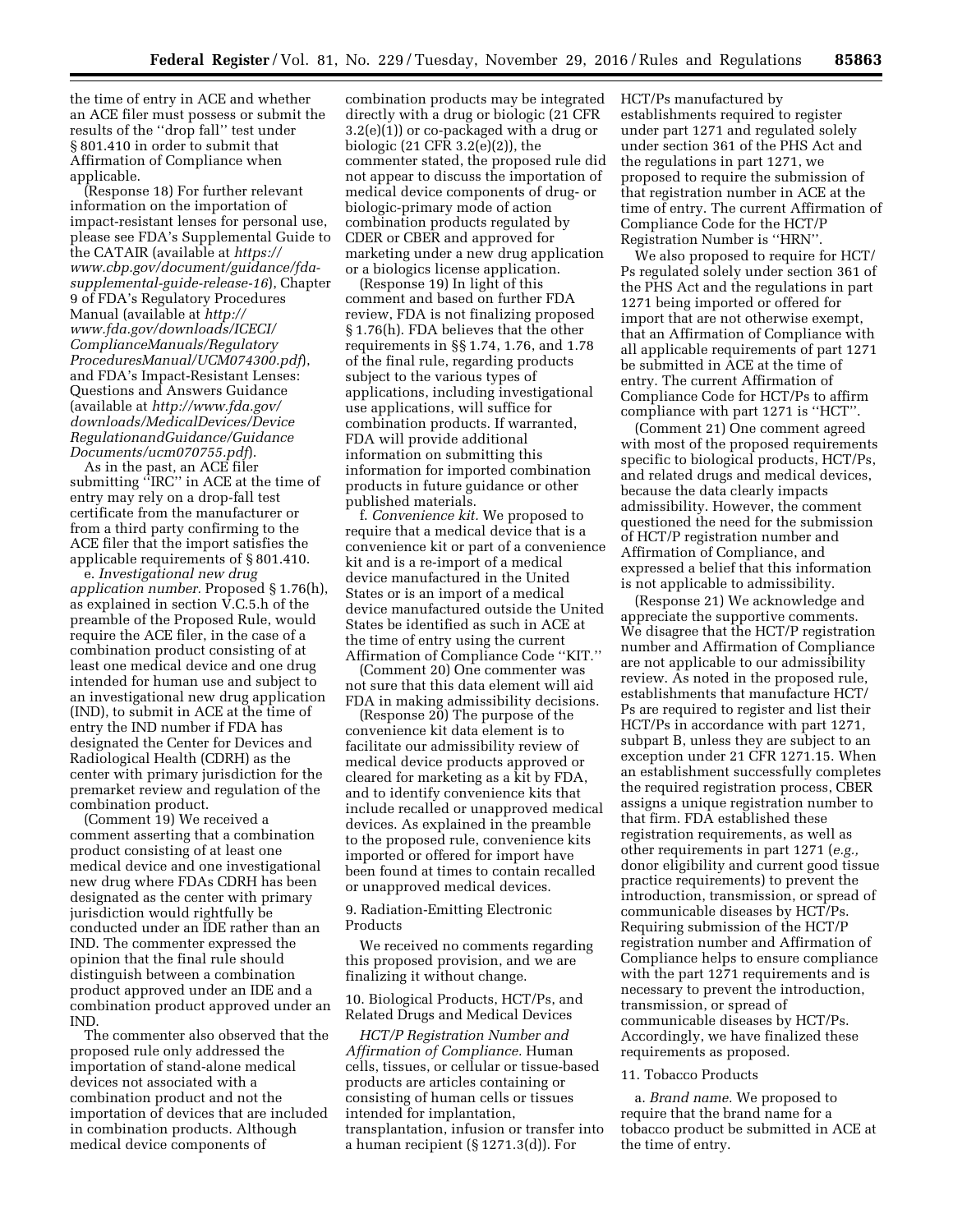the time of entry in ACE and whether an ACE filer must possess or submit the results of the ''drop fall'' test under § 801.410 in order to submit that Affirmation of Compliance when applicable.

(Response 18) For further relevant information on the importation of impact-resistant lenses for personal use, please see FDA's Supplemental Guide to the CATAIR (available at *[https://](https://www.cbp.gov/document/guidance/fda-supplemental-guide-release-16)  [www.cbp.gov/document/guidance/fda](https://www.cbp.gov/document/guidance/fda-supplemental-guide-release-16)[supplemental-guide-release-16](https://www.cbp.gov/document/guidance/fda-supplemental-guide-release-16)*), Chapter 9 of FDA's Regulatory Procedures Manual (available at *[http://](http://www.fda.gov/downloads/ICECI/ComplianceManuals/RegulatoryProceduresManual/UCM074300.pdf)  [www.fda.gov/downloads/ICECI/](http://www.fda.gov/downloads/ICECI/ComplianceManuals/RegulatoryProceduresManual/UCM074300.pdf) [ComplianceManuals/Regulatory](http://www.fda.gov/downloads/ICECI/ComplianceManuals/RegulatoryProceduresManual/UCM074300.pdf) [ProceduresManual/UCM074300.pdf](http://www.fda.gov/downloads/ICECI/ComplianceManuals/RegulatoryProceduresManual/UCM074300.pdf)*), and FDA's Impact-Resistant Lenses: Questions and Answers Guidance (available at *[http://www.fda.gov/](http://www.fda.gov/downloads/MedicalDevices/DeviceRegulationandGuidance/GuidanceDocuments/ucm070755.pdf)  [downloads/MedicalDevices/Device](http://www.fda.gov/downloads/MedicalDevices/DeviceRegulationandGuidance/GuidanceDocuments/ucm070755.pdf) [RegulationandGuidance/Guidance](http://www.fda.gov/downloads/MedicalDevices/DeviceRegulationandGuidance/GuidanceDocuments/ucm070755.pdf) [Documents/ucm070755.pdf](http://www.fda.gov/downloads/MedicalDevices/DeviceRegulationandGuidance/GuidanceDocuments/ucm070755.pdf)*).

As in the past, an ACE filer submitting "IRC" in ACE at the time of entry may rely on a drop-fall test certificate from the manufacturer or from a third party confirming to the ACE filer that the import satisfies the applicable requirements of § 801.410.

e. *Investigational new drug application number.* Proposed § 1.76(h), as explained in section V.C.5.h of the preamble of the Proposed Rule, would require the ACE filer, in the case of a combination product consisting of at least one medical device and one drug intended for human use and subject to an investigational new drug application (IND), to submit in ACE at the time of entry the IND number if FDA has designated the Center for Devices and Radiological Health (CDRH) as the center with primary jurisdiction for the premarket review and regulation of the combination product.

(Comment 19) We received a comment asserting that a combination product consisting of at least one medical device and one investigational new drug where FDAs CDRH has been designated as the center with primary jurisdiction would rightfully be conducted under an IDE rather than an IND. The commenter expressed the opinion that the final rule should distinguish between a combination product approved under an IDE and a combination product approved under an IND.

The commenter also observed that the proposed rule only addressed the importation of stand-alone medical devices not associated with a combination product and not the importation of devices that are included in combination products. Although medical device components of

combination products may be integrated directly with a drug or biologic (21 CFR 3.2(e)(1)) or co-packaged with a drug or biologic (21 CFR 3.2(e)(2)), the commenter stated, the proposed rule did not appear to discuss the importation of medical device components of drug- or biologic-primary mode of action combination products regulated by CDER or CBER and approved for marketing under a new drug application or a biologics license application.

(Response 19) In light of this comment and based on further FDA review, FDA is not finalizing proposed § 1.76(h). FDA believes that the other requirements in §§ 1.74, 1.76, and 1.78 of the final rule, regarding products subject to the various types of applications, including investigational use applications, will suffice for combination products. If warranted, FDA will provide additional information on submitting this information for imported combination products in future guidance or other published materials.

f. *Convenience kit.* We proposed to require that a medical device that is a convenience kit or part of a convenience kit and is a re-import of a medical device manufactured in the United States or is an import of a medical device manufactured outside the United States be identified as such in ACE at the time of entry using the current Affirmation of Compliance Code ''KIT.''

(Comment 20) One commenter was not sure that this data element will aid FDA in making admissibility decisions.

(Response 20) The purpose of the convenience kit data element is to facilitate our admissibility review of medical device products approved or cleared for marketing as a kit by FDA, and to identify convenience kits that include recalled or unapproved medical devices. As explained in the preamble to the proposed rule, convenience kits imported or offered for import have been found at times to contain recalled or unapproved medical devices.

9. Radiation-Emitting Electronic Products

We received no comments regarding this proposed provision, and we are finalizing it without change.

10. Biological Products, HCT/Ps, and Related Drugs and Medical Devices

*HCT/P Registration Number and Affirmation of Compliance.* Human cells, tissues, or cellular or tissue-based products are articles containing or consisting of human cells or tissues intended for implantation, transplantation, infusion or transfer into a human recipient (§ 1271.3(d)). For

HCT/Ps manufactured by establishments required to register under part 1271 and regulated solely under section 361 of the PHS Act and the regulations in part 1271, we proposed to require the submission of that registration number in ACE at the time of entry. The current Affirmation of Compliance Code for the HCT/P Registration Number is ''HRN''.

We also proposed to require for HCT/ Ps regulated solely under section 361 of the PHS Act and the regulations in part 1271 being imported or offered for import that are not otherwise exempt, that an Affirmation of Compliance with all applicable requirements of part 1271 be submitted in ACE at the time of entry. The current Affirmation of Compliance Code for HCT/Ps to affirm compliance with part 1271 is ''HCT''.

(Comment 21) One comment agreed with most of the proposed requirements specific to biological products, HCT/Ps, and related drugs and medical devices, because the data clearly impacts admissibility. However, the comment questioned the need for the submission of HCT/P registration number and Affirmation of Compliance, and expressed a belief that this information is not applicable to admissibility.

(Response 21) We acknowledge and appreciate the supportive comments. We disagree that the HCT/P registration number and Affirmation of Compliance are not applicable to our admissibility review. As noted in the proposed rule, establishments that manufacture HCT/ Ps are required to register and list their HCT/Ps in accordance with part 1271, subpart B, unless they are subject to an exception under 21 CFR 1271.15. When an establishment successfully completes the required registration process, CBER assigns a unique registration number to that firm. FDA established these registration requirements, as well as other requirements in part 1271 (*e.g.,*  donor eligibility and current good tissue practice requirements) to prevent the introduction, transmission, or spread of communicable diseases by HCT/Ps. Requiring submission of the HCT/P registration number and Affirmation of Compliance helps to ensure compliance with the part 1271 requirements and is necessary to prevent the introduction, transmission, or spread of communicable diseases by HCT/Ps. Accordingly, we have finalized these requirements as proposed.

#### 11. Tobacco Products

a. *Brand name.* We proposed to require that the brand name for a tobacco product be submitted in ACE at the time of entry.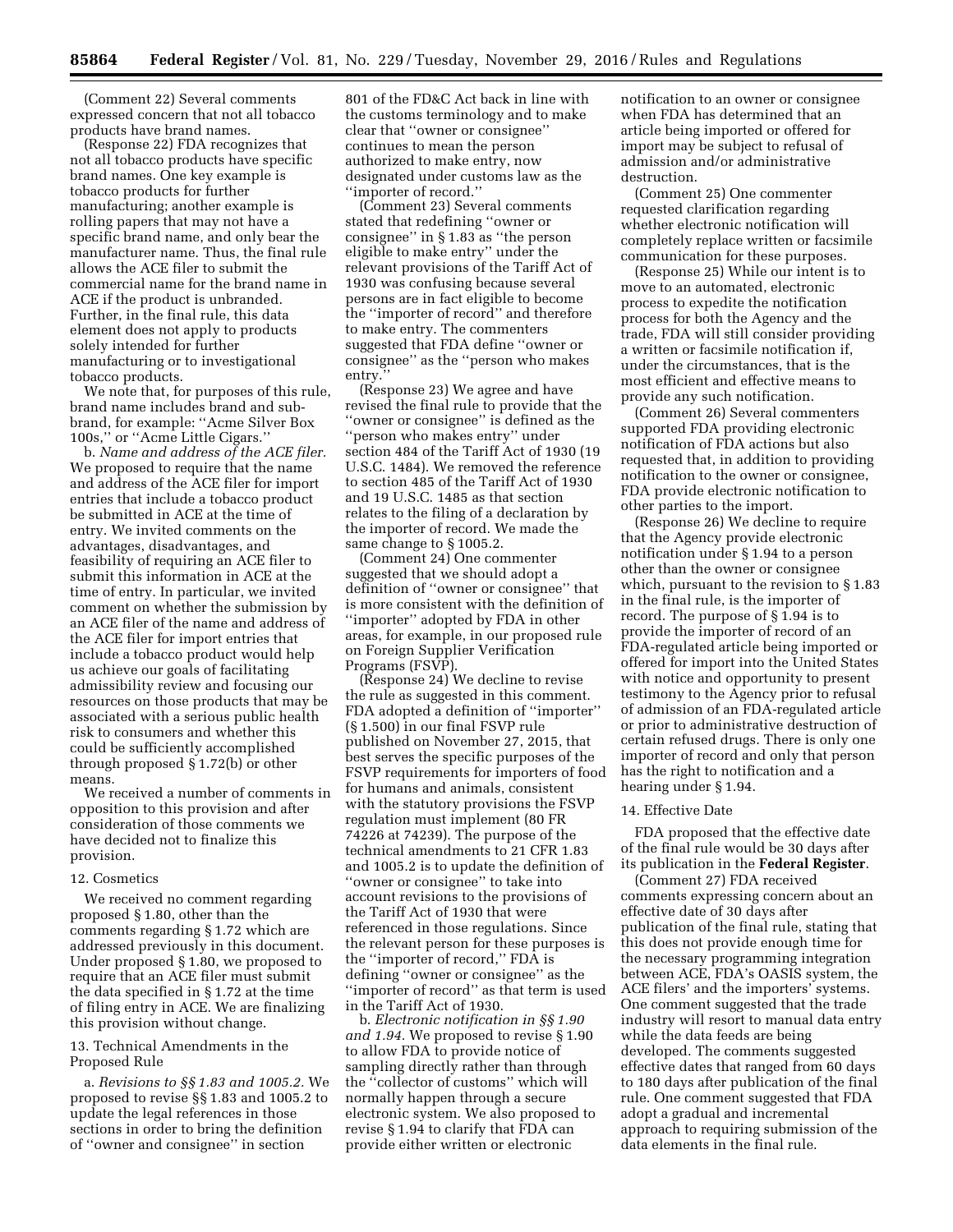(Comment 22) Several comments expressed concern that not all tobacco products have brand names.

(Response 22) FDA recognizes that not all tobacco products have specific brand names. One key example is tobacco products for further manufacturing; another example is rolling papers that may not have a specific brand name, and only bear the manufacturer name. Thus, the final rule allows the ACE filer to submit the commercial name for the brand name in ACE if the product is unbranded. Further, in the final rule, this data element does not apply to products solely intended for further manufacturing or to investigational tobacco products.

We note that, for purposes of this rule, brand name includes brand and subbrand, for example: ''Acme Silver Box 100s,'' or ''Acme Little Cigars.''

b. *Name and address of the ACE filer.*  We proposed to require that the name and address of the ACE filer for import entries that include a tobacco product be submitted in ACE at the time of entry. We invited comments on the advantages, disadvantages, and feasibility of requiring an ACE filer to submit this information in ACE at the time of entry. In particular, we invited comment on whether the submission by an ACE filer of the name and address of the ACE filer for import entries that include a tobacco product would help us achieve our goals of facilitating admissibility review and focusing our resources on those products that may be associated with a serious public health risk to consumers and whether this could be sufficiently accomplished through proposed § 1.72(b) or other means.

We received a number of comments in opposition to this provision and after consideration of those comments we have decided not to finalize this provision.

#### 12. Cosmetics

We received no comment regarding proposed § 1.80, other than the comments regarding § 1.72 which are addressed previously in this document. Under proposed § 1.80, we proposed to require that an ACE filer must submit the data specified in § 1.72 at the time of filing entry in ACE. We are finalizing this provision without change.

## 13. Technical Amendments in the Proposed Rule

a. *Revisions to §§ 1.83 and 1005.2.* We proposed to revise §§ 1.83 and 1005.2 to update the legal references in those sections in order to bring the definition of ''owner and consignee'' in section

801 of the FD&C Act back in line with the customs terminology and to make clear that ''owner or consignee'' continues to mean the person authorized to make entry, now designated under customs law as the ''importer of record.''

(Comment 23) Several comments stated that redefining ''owner or consignee'' in § 1.83 as ''the person eligible to make entry'' under the relevant provisions of the Tariff Act of 1930 was confusing because several persons are in fact eligible to become the ''importer of record'' and therefore to make entry. The commenters suggested that FDA define ''owner or consignee'' as the ''person who makes entry.''

(Response 23) We agree and have revised the final rule to provide that the ''owner or consignee'' is defined as the ''person who makes entry'' under section 484 of the Tariff Act of 1930 (19 U.S.C. 1484). We removed the reference to section 485 of the Tariff Act of 1930 and 19 U.S.C. 1485 as that section relates to the filing of a declaration by the importer of record. We made the same change to § 1005.2.

(Comment 24) One commenter suggested that we should adopt a definition of ''owner or consignee'' that is more consistent with the definition of ''importer'' adopted by FDA in other areas, for example, in our proposed rule on Foreign Supplier Verification Programs (FSVP).

(Response 24) We decline to revise the rule as suggested in this comment. FDA adopted a definition of ''importer'' (§ 1.500) in our final FSVP rule published on November 27, 2015, that best serves the specific purposes of the FSVP requirements for importers of food for humans and animals, consistent with the statutory provisions the FSVP regulation must implement (80 FR 74226 at 74239). The purpose of the technical amendments to 21 CFR 1.83 and 1005.2 is to update the definition of ''owner or consignee'' to take into account revisions to the provisions of the Tariff Act of 1930 that were referenced in those regulations. Since the relevant person for these purposes is the ''importer of record,'' FDA is defining ''owner or consignee'' as the ''importer of record'' as that term is used in the Tariff Act of 1930.

b. *Electronic notification in §§ 1.90 and 1.94.* We proposed to revise § 1.90 to allow FDA to provide notice of sampling directly rather than through the ''collector of customs'' which will normally happen through a secure electronic system. We also proposed to revise § 1.94 to clarify that FDA can provide either written or electronic

notification to an owner or consignee when FDA has determined that an article being imported or offered for import may be subject to refusal of admission and/or administrative destruction.

(Comment 25) One commenter requested clarification regarding whether electronic notification will completely replace written or facsimile communication for these purposes.

(Response 25) While our intent is to move to an automated, electronic process to expedite the notification process for both the Agency and the trade, FDA will still consider providing a written or facsimile notification if, under the circumstances, that is the most efficient and effective means to provide any such notification.

(Comment 26) Several commenters supported FDA providing electronic notification of FDA actions but also requested that, in addition to providing notification to the owner or consignee, FDA provide electronic notification to other parties to the import.

(Response 26) We decline to require that the Agency provide electronic notification under § 1.94 to a person other than the owner or consignee which, pursuant to the revision to § 1.83 in the final rule, is the importer of record. The purpose of § 1.94 is to provide the importer of record of an FDA-regulated article being imported or offered for import into the United States with notice and opportunity to present testimony to the Agency prior to refusal of admission of an FDA-regulated article or prior to administrative destruction of certain refused drugs. There is only one importer of record and only that person has the right to notification and a hearing under § 1.94.

#### 14. Effective Date

FDA proposed that the effective date of the final rule would be 30 days after its publication in the **Federal Register**.

(Comment 27) FDA received comments expressing concern about an effective date of 30 days after publication of the final rule, stating that this does not provide enough time for the necessary programming integration between ACE, FDA's OASIS system, the ACE filers' and the importers' systems. One comment suggested that the trade industry will resort to manual data entry while the data feeds are being developed. The comments suggested effective dates that ranged from 60 days to 180 days after publication of the final rule. One comment suggested that FDA adopt a gradual and incremental approach to requiring submission of the data elements in the final rule.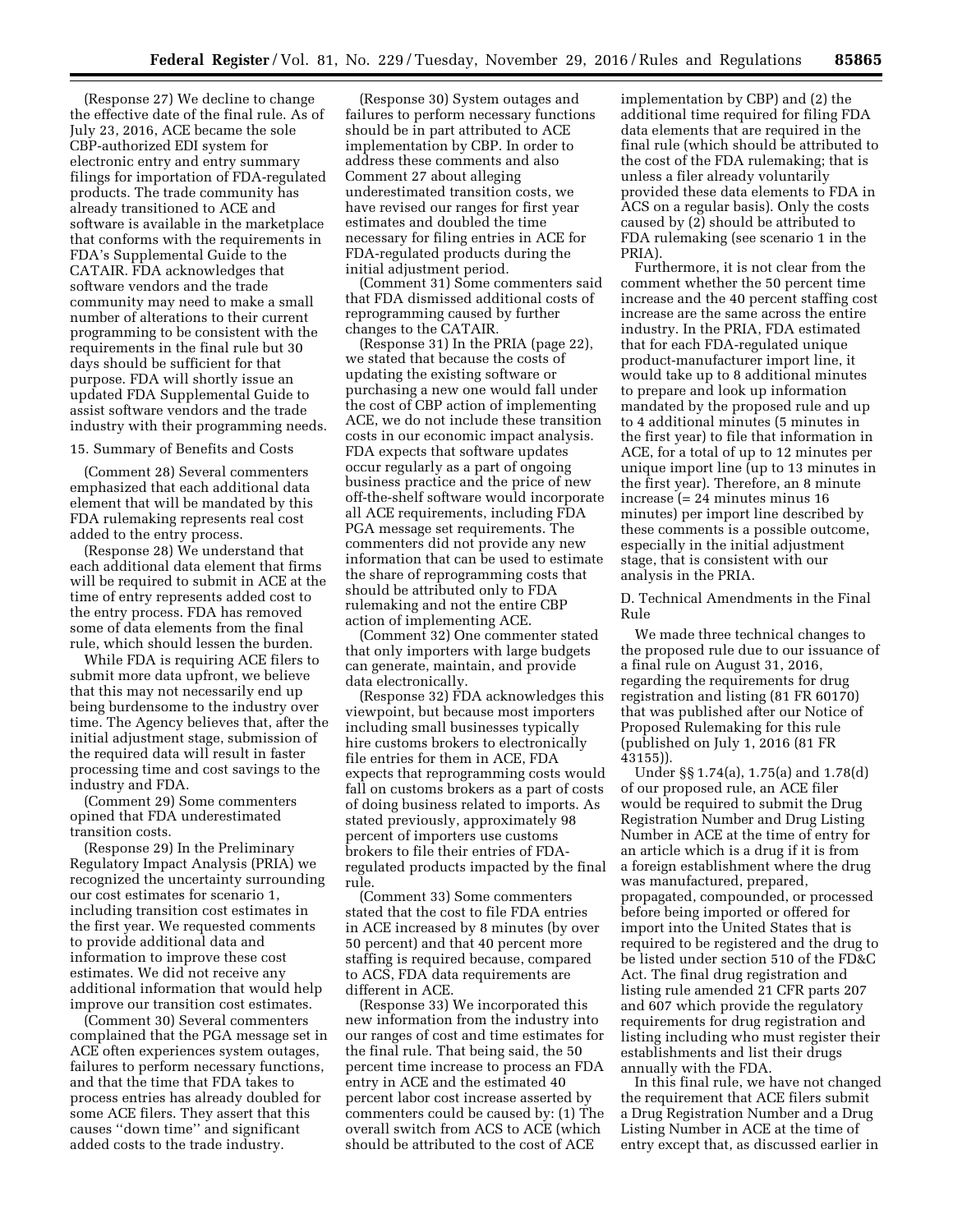(Response 27) We decline to change the effective date of the final rule. As of July 23, 2016, ACE became the sole CBP-authorized EDI system for electronic entry and entry summary filings for importation of FDA-regulated products. The trade community has already transitioned to ACE and software is available in the marketplace that conforms with the requirements in FDA's Supplemental Guide to the CATAIR. FDA acknowledges that software vendors and the trade community may need to make a small number of alterations to their current programming to be consistent with the requirements in the final rule but 30 days should be sufficient for that purpose. FDA will shortly issue an updated FDA Supplemental Guide to assist software vendors and the trade industry with their programming needs.

## 15. Summary of Benefits and Costs

(Comment 28) Several commenters emphasized that each additional data element that will be mandated by this FDA rulemaking represents real cost added to the entry process.

(Response 28) We understand that each additional data element that firms will be required to submit in ACE at the time of entry represents added cost to the entry process. FDA has removed some of data elements from the final rule, which should lessen the burden.

While FDA is requiring ACE filers to submit more data upfront, we believe that this may not necessarily end up being burdensome to the industry over time. The Agency believes that, after the initial adjustment stage, submission of the required data will result in faster processing time and cost savings to the industry and FDA.

(Comment 29) Some commenters opined that FDA underestimated transition costs.

(Response 29) In the Preliminary Regulatory Impact Analysis (PRIA) we recognized the uncertainty surrounding our cost estimates for scenario 1, including transition cost estimates in the first year. We requested comments to provide additional data and information to improve these cost estimates. We did not receive any additional information that would help improve our transition cost estimates.

(Comment 30) Several commenters complained that the PGA message set in ACE often experiences system outages, failures to perform necessary functions, and that the time that FDA takes to process entries has already doubled for some ACE filers. They assert that this causes ''down time'' and significant added costs to the trade industry.

(Response 30) System outages and failures to perform necessary functions should be in part attributed to ACE implementation by CBP. In order to address these comments and also Comment 27 about alleging underestimated transition costs, we have revised our ranges for first year estimates and doubled the time necessary for filing entries in ACE for FDA-regulated products during the initial adjustment period.

(Comment 31) Some commenters said that FDA dismissed additional costs of reprogramming caused by further changes to the CATAIR.

(Response 31) In the PRIA (page 22), we stated that because the costs of updating the existing software or purchasing a new one would fall under the cost of CBP action of implementing ACE, we do not include these transition costs in our economic impact analysis. FDA expects that software updates occur regularly as a part of ongoing business practice and the price of new off-the-shelf software would incorporate all ACE requirements, including FDA PGA message set requirements. The commenters did not provide any new information that can be used to estimate the share of reprogramming costs that should be attributed only to FDA rulemaking and not the entire CBP action of implementing ACE.

(Comment 32) One commenter stated that only importers with large budgets can generate, maintain, and provide data electronically.

(Response 32) FDA acknowledges this viewpoint, but because most importers including small businesses typically hire customs brokers to electronically file entries for them in ACE, FDA expects that reprogramming costs would fall on customs brokers as a part of costs of doing business related to imports. As stated previously, approximately 98 percent of importers use customs brokers to file their entries of FDAregulated products impacted by the final rule.

(Comment 33) Some commenters stated that the cost to file FDA entries in ACE increased by 8 minutes (by over 50 percent) and that 40 percent more staffing is required because, compared to ACS, FDA data requirements are different in ACE.

(Response 33) We incorporated this new information from the industry into our ranges of cost and time estimates for the final rule. That being said, the 50 percent time increase to process an FDA entry in ACE and the estimated 40 percent labor cost increase asserted by commenters could be caused by: (1) The overall switch from ACS to ACE (which should be attributed to the cost of ACE

implementation by CBP) and (2) the additional time required for filing FDA data elements that are required in the final rule (which should be attributed to the cost of the FDA rulemaking; that is unless a filer already voluntarily provided these data elements to FDA in ACS on a regular basis). Only the costs caused by (2) should be attributed to FDA rulemaking (see scenario 1 in the PRIA).

Furthermore, it is not clear from the comment whether the 50 percent time increase and the 40 percent staffing cost increase are the same across the entire industry. In the PRIA, FDA estimated that for each FDA-regulated unique product-manufacturer import line, it would take up to 8 additional minutes to prepare and look up information mandated by the proposed rule and up to 4 additional minutes (5 minutes in the first year) to file that information in ACE, for a total of up to 12 minutes per unique import line (up to 13 minutes in the first year). Therefore, an 8 minute increase (= 24 minutes minus 16 minutes) per import line described by these comments is a possible outcome, especially in the initial adjustment stage, that is consistent with our analysis in the PRIA.

D. Technical Amendments in the Final Rule

We made three technical changes to the proposed rule due to our issuance of a final rule on August 31, 2016, regarding the requirements for drug registration and listing (81 FR 60170) that was published after our Notice of Proposed Rulemaking for this rule (published on July 1, 2016 (81 FR 43155)).

Under §§ 1.74(a), 1.75(a) and 1.78(d) of our proposed rule, an ACE filer would be required to submit the Drug Registration Number and Drug Listing Number in ACE at the time of entry for an article which is a drug if it is from a foreign establishment where the drug was manufactured, prepared, propagated, compounded, or processed before being imported or offered for import into the United States that is required to be registered and the drug to be listed under section 510 of the FD&C Act. The final drug registration and listing rule amended 21 CFR parts 207 and 607 which provide the regulatory requirements for drug registration and listing including who must register their establishments and list their drugs annually with the FDA.

In this final rule, we have not changed the requirement that ACE filers submit a Drug Registration Number and a Drug Listing Number in ACE at the time of entry except that, as discussed earlier in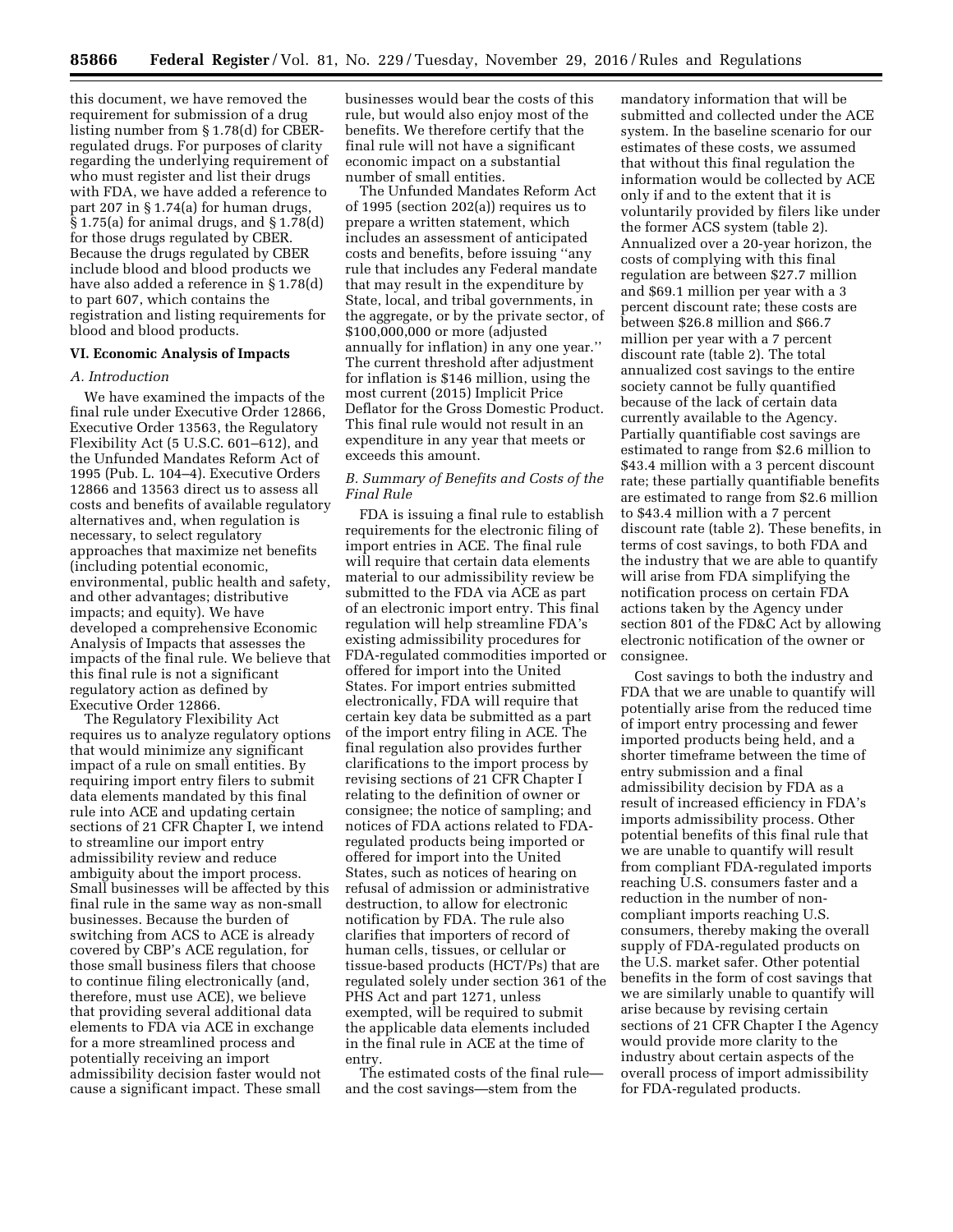this document, we have removed the requirement for submission of a drug listing number from § 1.78(d) for CBERregulated drugs. For purposes of clarity regarding the underlying requirement of who must register and list their drugs with FDA, we have added a reference to part 207 in § 1.74(a) for human drugs,  $\S 1.75$ (a) for animal drugs, and  $\S 1.78$ (d) for those drugs regulated by CBER. Because the drugs regulated by CBER include blood and blood products we have also added a reference in § 1.78(d) to part 607, which contains the registration and listing requirements for blood and blood products.

## **VI. Economic Analysis of Impacts**

## *A. Introduction*

We have examined the impacts of the final rule under Executive Order 12866, Executive Order 13563, the Regulatory Flexibility Act (5 U.S.C. 601–612), and the Unfunded Mandates Reform Act of 1995 (Pub. L. 104–4). Executive Orders 12866 and 13563 direct us to assess all costs and benefits of available regulatory alternatives and, when regulation is necessary, to select regulatory approaches that maximize net benefits (including potential economic, environmental, public health and safety, and other advantages; distributive impacts; and equity). We have developed a comprehensive Economic Analysis of Impacts that assesses the impacts of the final rule. We believe that this final rule is not a significant regulatory action as defined by Executive Order 12866.

The Regulatory Flexibility Act requires us to analyze regulatory options that would minimize any significant impact of a rule on small entities. By requiring import entry filers to submit data elements mandated by this final rule into ACE and updating certain sections of 21 CFR Chapter I, we intend to streamline our import entry admissibility review and reduce ambiguity about the import process. Small businesses will be affected by this final rule in the same way as non-small businesses. Because the burden of switching from ACS to ACE is already covered by CBP's ACE regulation, for those small business filers that choose to continue filing electronically (and, therefore, must use ACE), we believe that providing several additional data elements to FDA via ACE in exchange for a more streamlined process and potentially receiving an import admissibility decision faster would not cause a significant impact. These small

businesses would bear the costs of this rule, but would also enjoy most of the benefits. We therefore certify that the final rule will not have a significant economic impact on a substantial number of small entities.

The Unfunded Mandates Reform Act of 1995 (section 202(a)) requires us to prepare a written statement, which includes an assessment of anticipated costs and benefits, before issuing ''any rule that includes any Federal mandate that may result in the expenditure by State, local, and tribal governments, in the aggregate, or by the private sector, of \$100,000,000 or more (adjusted annually for inflation) in any one year.'' The current threshold after adjustment for inflation is \$146 million, using the most current (2015) Implicit Price Deflator for the Gross Domestic Product. This final rule would not result in an expenditure in any year that meets or exceeds this amount.

## *B. Summary of Benefits and Costs of the Final Rule*

FDA is issuing a final rule to establish requirements for the electronic filing of import entries in ACE. The final rule will require that certain data elements material to our admissibility review be submitted to the FDA via ACE as part of an electronic import entry. This final regulation will help streamline FDA's existing admissibility procedures for FDA-regulated commodities imported or offered for import into the United States. For import entries submitted electronically, FDA will require that certain key data be submitted as a part of the import entry filing in ACE. The final regulation also provides further clarifications to the import process by revising sections of 21 CFR Chapter I relating to the definition of owner or consignee; the notice of sampling; and notices of FDA actions related to FDAregulated products being imported or offered for import into the United States, such as notices of hearing on refusal of admission or administrative destruction, to allow for electronic notification by FDA. The rule also clarifies that importers of record of human cells, tissues, or cellular or tissue-based products (HCT/Ps) that are regulated solely under section 361 of the PHS Act and part 1271, unless exempted, will be required to submit the applicable data elements included in the final rule in ACE at the time of entry.

The estimated costs of the final rule and the cost savings—stem from the

mandatory information that will be submitted and collected under the ACE system. In the baseline scenario for our estimates of these costs, we assumed that without this final regulation the information would be collected by ACE only if and to the extent that it is voluntarily provided by filers like under the former ACS system (table 2). Annualized over a 20-year horizon, the costs of complying with this final regulation are between \$27.7 million and \$69.1 million per year with a 3 percent discount rate; these costs are between \$26.8 million and \$66.7 million per year with a 7 percent discount rate (table 2). The total annualized cost savings to the entire society cannot be fully quantified because of the lack of certain data currently available to the Agency. Partially quantifiable cost savings are estimated to range from \$2.6 million to \$43.4 million with a 3 percent discount rate; these partially quantifiable benefits are estimated to range from \$2.6 million to \$43.4 million with a 7 percent discount rate (table 2). These benefits, in terms of cost savings, to both FDA and the industry that we are able to quantify will arise from FDA simplifying the notification process on certain FDA actions taken by the Agency under section 801 of the FD&C Act by allowing electronic notification of the owner or consignee.

Cost savings to both the industry and FDA that we are unable to quantify will potentially arise from the reduced time of import entry processing and fewer imported products being held, and a shorter timeframe between the time of entry submission and a final admissibility decision by FDA as a result of increased efficiency in FDA's imports admissibility process. Other potential benefits of this final rule that we are unable to quantify will result from compliant FDA-regulated imports reaching U.S. consumers faster and a reduction in the number of noncompliant imports reaching U.S. consumers, thereby making the overall supply of FDA-regulated products on the U.S. market safer. Other potential benefits in the form of cost savings that we are similarly unable to quantify will arise because by revising certain sections of 21 CFR Chapter I the Agency would provide more clarity to the industry about certain aspects of the overall process of import admissibility for FDA-regulated products.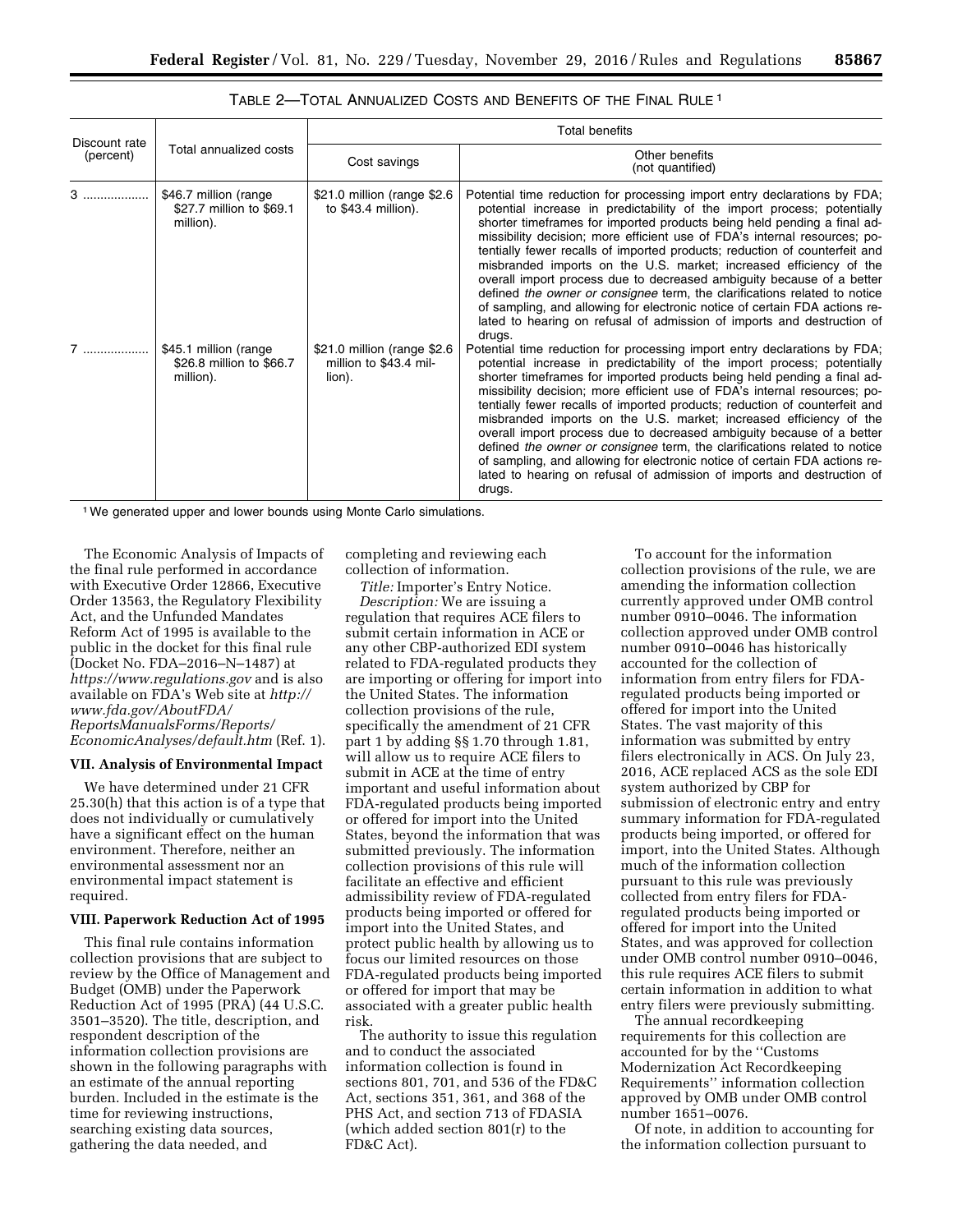| Discount rate<br>(percent) | Total annualized costs                                          | <b>Total benefits</b>                                           |                                                                                                                                                                                                                                                                                                                                                                                                                                                                                                                                                                                                                                                                                                                                                                                          |  |  |
|----------------------------|-----------------------------------------------------------------|-----------------------------------------------------------------|------------------------------------------------------------------------------------------------------------------------------------------------------------------------------------------------------------------------------------------------------------------------------------------------------------------------------------------------------------------------------------------------------------------------------------------------------------------------------------------------------------------------------------------------------------------------------------------------------------------------------------------------------------------------------------------------------------------------------------------------------------------------------------------|--|--|
|                            |                                                                 | Cost savings                                                    | Other benefits<br>(not quantified)                                                                                                                                                                                                                                                                                                                                                                                                                                                                                                                                                                                                                                                                                                                                                       |  |  |
| 3                          | \$46.7 million (range)<br>\$27.7 million to \$69.1<br>million). | \$21.0 million (range \$2.6<br>to $$43.4$ million).             | Potential time reduction for processing import entry declarations by FDA;<br>potential increase in predictability of the import process; potentially<br>shorter timeframes for imported products being held pending a final ad-<br>missibility decision; more efficient use of FDA's internal resources; po-<br>tentially fewer recalls of imported products; reduction of counterfeit and<br>misbranded imports on the U.S. market; increased efficiency of the<br>overall import process due to decreased ambiguity because of a better<br>defined the owner or consignee term, the clarifications related to notice<br>of sampling, and allowing for electronic notice of certain FDA actions re-<br>lated to hearing on refusal of admission of imports and destruction of<br>drugs. |  |  |
| 7                          | \$45.1 million (range<br>\$26.8 million to \$66.7<br>million).  | \$21.0 million (range \$2.6<br>million to \$43.4 mil-<br>lion). | Potential time reduction for processing import entry declarations by FDA;<br>potential increase in predictability of the import process; potentially<br>shorter timeframes for imported products being held pending a final ad-<br>missibility decision; more efficient use of FDA's internal resources; po-<br>tentially fewer recalls of imported products; reduction of counterfeit and<br>misbranded imports on the U.S. market; increased efficiency of the<br>overall import process due to decreased ambiguity because of a better<br>defined the owner or consignee term, the clarifications related to notice<br>of sampling, and allowing for electronic notice of certain FDA actions re-<br>lated to hearing on refusal of admission of imports and destruction of<br>drugs. |  |  |

# TABLE 2—TOTAL ANNUALIZED COSTS AND BENEFITS OF THE FINAL RULE 1

1We generated upper and lower bounds using Monte Carlo simulations.

The Economic Analysis of Impacts of the final rule performed in accordance with Executive Order 12866, Executive Order 13563, the Regulatory Flexibility Act, and the Unfunded Mandates Reform Act of 1995 is available to the public in the docket for this final rule (Docket No. FDA–2016–N–1487) at *<https://www.regulations.gov>* and is also available on FDA's Web site at *[http://](http://www.fda.gov/AboutFDA/ReportsManualsForms/Reports/EconomicAnalyses/default.htm) [www.fda.gov/AboutFDA/](http://www.fda.gov/AboutFDA/ReportsManualsForms/Reports/EconomicAnalyses/default.htm) [ReportsManualsForms/Reports/](http://www.fda.gov/AboutFDA/ReportsManualsForms/Reports/EconomicAnalyses/default.htm)  [EconomicAnalyses/default.htm](http://www.fda.gov/AboutFDA/ReportsManualsForms/Reports/EconomicAnalyses/default.htm)* (Ref. 1).

## **VII. Analysis of Environmental Impact**

We have determined under 21 CFR 25.30(h) that this action is of a type that does not individually or cumulatively have a significant effect on the human environment. Therefore, neither an environmental assessment nor an environmental impact statement is required.

### **VIII. Paperwork Reduction Act of 1995**

This final rule contains information collection provisions that are subject to review by the Office of Management and Budget (OMB) under the Paperwork Reduction Act of 1995 (PRA) (44 U.S.C. 3501–3520). The title, description, and respondent description of the information collection provisions are shown in the following paragraphs with an estimate of the annual reporting burden. Included in the estimate is the time for reviewing instructions, searching existing data sources, gathering the data needed, and

completing and reviewing each collection of information.

*Title:* Importer's Entry Notice. *Description:* We are issuing a regulation that requires ACE filers to submit certain information in ACE or any other CBP-authorized EDI system related to FDA-regulated products they are importing or offering for import into the United States. The information collection provisions of the rule, specifically the amendment of 21 CFR part 1 by adding §§ 1.70 through 1.81, will allow us to require ACE filers to submit in ACE at the time of entry important and useful information about FDA-regulated products being imported or offered for import into the United States, beyond the information that was submitted previously. The information collection provisions of this rule will facilitate an effective and efficient admissibility review of FDA-regulated products being imported or offered for import into the United States, and protect public health by allowing us to focus our limited resources on those FDA-regulated products being imported or offered for import that may be associated with a greater public health risk.

The authority to issue this regulation and to conduct the associated information collection is found in sections 801, 701, and 536 of the FD&C Act, sections 351, 361, and 368 of the PHS Act, and section 713 of FDASIA (which added section 801(r) to the FD&C Act).

To account for the information collection provisions of the rule, we are amending the information collection currently approved under OMB control number 0910–0046. The information collection approved under OMB control number 0910–0046 has historically accounted for the collection of information from entry filers for FDAregulated products being imported or offered for import into the United States. The vast majority of this information was submitted by entry filers electronically in ACS. On July 23, 2016, ACE replaced ACS as the sole EDI system authorized by CBP for submission of electronic entry and entry summary information for FDA-regulated products being imported, or offered for import, into the United States. Although much of the information collection pursuant to this rule was previously collected from entry filers for FDAregulated products being imported or offered for import into the United States, and was approved for collection under OMB control number 0910–0046, this rule requires ACE filers to submit certain information in addition to what entry filers were previously submitting.

The annual recordkeeping requirements for this collection are accounted for by the ''Customs Modernization Act Recordkeeping Requirements'' information collection approved by OMB under OMB control number 1651–0076.

Of note, in addition to accounting for the information collection pursuant to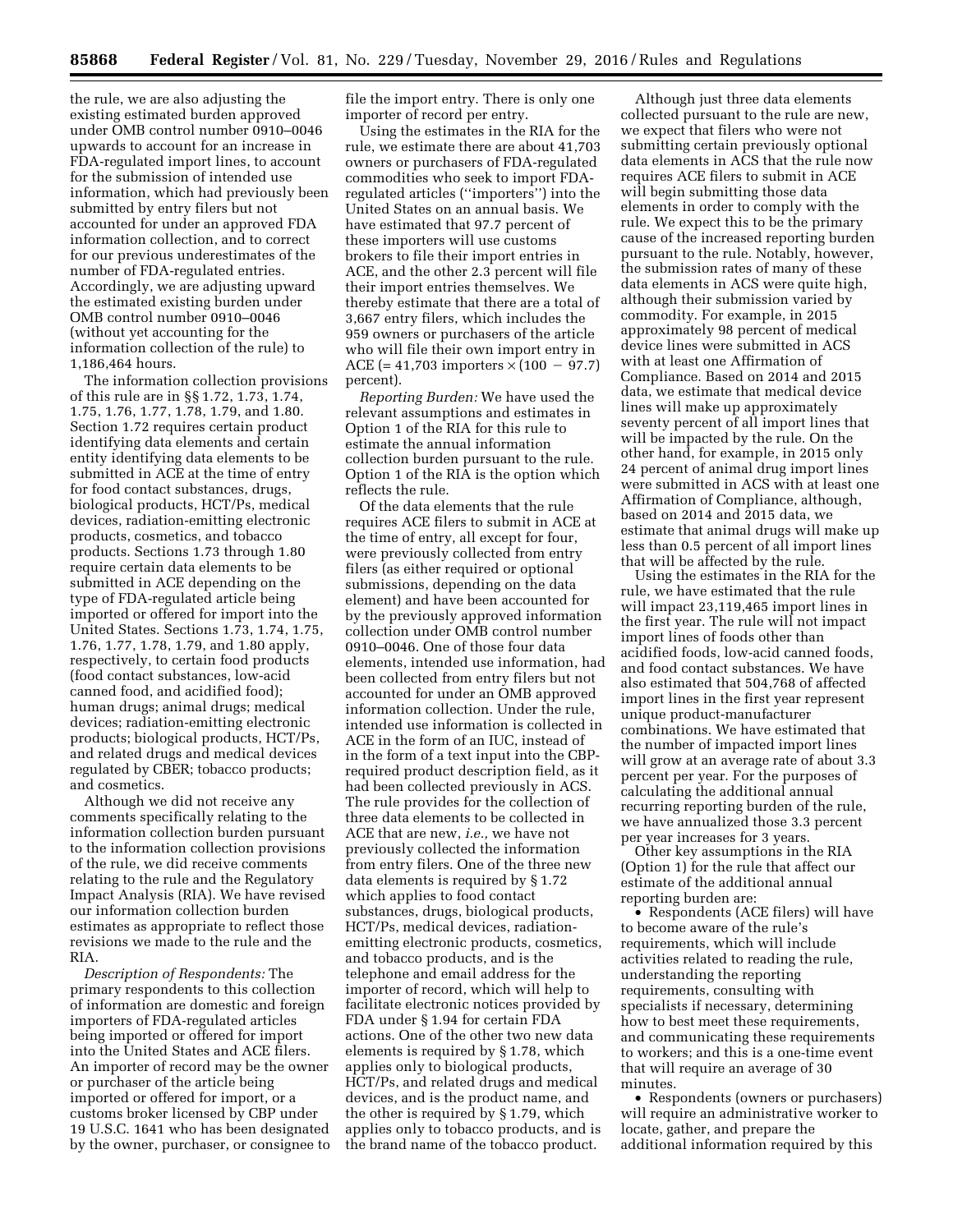the rule, we are also adjusting the existing estimated burden approved under OMB control number 0910–0046 upwards to account for an increase in FDA-regulated import lines, to account for the submission of intended use information, which had previously been submitted by entry filers but not accounted for under an approved FDA information collection, and to correct for our previous underestimates of the number of FDA-regulated entries. Accordingly, we are adjusting upward the estimated existing burden under OMB control number 0910–0046 (without yet accounting for the information collection of the rule) to 1,186,464 hours.

The information collection provisions of this rule are in §§ 1.72, 1.73, 1.74, 1.75, 1.76, 1.77, 1.78, 1.79, and 1.80. Section 1.72 requires certain product identifying data elements and certain entity identifying data elements to be submitted in ACE at the time of entry for food contact substances, drugs, biological products, HCT/Ps, medical devices, radiation-emitting electronic products, cosmetics, and tobacco products. Sections 1.73 through 1.80 require certain data elements to be submitted in ACE depending on the type of FDA-regulated article being imported or offered for import into the United States. Sections 1.73, 1.74, 1.75, 1.76, 1.77, 1.78, 1.79, and 1.80 apply, respectively, to certain food products (food contact substances, low-acid canned food, and acidified food); human drugs; animal drugs; medical devices; radiation-emitting electronic products; biological products, HCT/Ps, and related drugs and medical devices regulated by CBER; tobacco products; and cosmetics.

Although we did not receive any comments specifically relating to the information collection burden pursuant to the information collection provisions of the rule, we did receive comments relating to the rule and the Regulatory Impact Analysis (RIA). We have revised our information collection burden estimates as appropriate to reflect those revisions we made to the rule and the RIA.

*Description of Respondents:* The primary respondents to this collection of information are domestic and foreign importers of FDA-regulated articles being imported or offered for import into the United States and ACE filers. An importer of record may be the owner or purchaser of the article being imported or offered for import, or a customs broker licensed by CBP under 19 U.S.C. 1641 who has been designated by the owner, purchaser, or consignee to file the import entry. There is only one importer of record per entry.

Using the estimates in the RIA for the rule, we estimate there are about 41,703 owners or purchasers of FDA-regulated commodities who seek to import FDAregulated articles (''importers'') into the United States on an annual basis. We have estimated that 97.7 percent of these importers will use customs brokers to file their import entries in ACE, and the other 2.3 percent will file their import entries themselves. We thereby estimate that there are a total of 3,667 entry filers, which includes the 959 owners or purchasers of the article who will file their own import entry in ACE (= 41,703 importers  $\times$  (100 – 97.7) percent).

*Reporting Burden:* We have used the relevant assumptions and estimates in Option 1 of the RIA for this rule to estimate the annual information collection burden pursuant to the rule. Option 1 of the RIA is the option which reflects the rule.

Of the data elements that the rule requires ACE filers to submit in ACE at the time of entry, all except for four, were previously collected from entry filers (as either required or optional submissions, depending on the data element) and have been accounted for by the previously approved information collection under OMB control number 0910–0046. One of those four data elements, intended use information, had been collected from entry filers but not accounted for under an OMB approved information collection. Under the rule, intended use information is collected in ACE in the form of an IUC, instead of in the form of a text input into the CBPrequired product description field, as it had been collected previously in ACS. The rule provides for the collection of three data elements to be collected in ACE that are new, *i.e.,* we have not previously collected the information from entry filers. One of the three new data elements is required by § 1.72 which applies to food contact substances, drugs, biological products, HCT/Ps, medical devices, radiationemitting electronic products, cosmetics, and tobacco products, and is the telephone and email address for the importer of record, which will help to facilitate electronic notices provided by FDA under § 1.94 for certain FDA actions. One of the other two new data elements is required by § 1.78, which applies only to biological products, HCT/Ps, and related drugs and medical devices, and is the product name, and the other is required by § 1.79, which applies only to tobacco products, and is the brand name of the tobacco product.

Although just three data elements collected pursuant to the rule are new, we expect that filers who were not submitting certain previously optional data elements in ACS that the rule now requires ACE filers to submit in ACE will begin submitting those data elements in order to comply with the rule. We expect this to be the primary cause of the increased reporting burden pursuant to the rule. Notably, however, the submission rates of many of these data elements in ACS were quite high, although their submission varied by commodity. For example, in 2015 approximately 98 percent of medical device lines were submitted in ACS with at least one Affirmation of Compliance. Based on 2014 and 2015 data, we estimate that medical device lines will make up approximately seventy percent of all import lines that will be impacted by the rule. On the other hand, for example, in 2015 only 24 percent of animal drug import lines were submitted in ACS with at least one Affirmation of Compliance, although, based on 2014 and 2015 data, we estimate that animal drugs will make up less than 0.5 percent of all import lines that will be affected by the rule.

Using the estimates in the RIA for the rule, we have estimated that the rule will impact 23,119,465 import lines in the first year. The rule will not impact import lines of foods other than acidified foods, low-acid canned foods, and food contact substances. We have also estimated that 504,768 of affected import lines in the first year represent unique product-manufacturer combinations. We have estimated that the number of impacted import lines will grow at an average rate of about 3.3 percent per year. For the purposes of calculating the additional annual recurring reporting burden of the rule, we have annualized those 3.3 percent per year increases for 3 years.

Other key assumptions in the RIA (Option 1) for the rule that affect our estimate of the additional annual reporting burden are:

• Respondents (ACE filers) will have to become aware of the rule's requirements, which will include activities related to reading the rule, understanding the reporting requirements, consulting with specialists if necessary, determining how to best meet these requirements, and communicating these requirements to workers; and this is a one-time event that will require an average of 30 minutes.

• Respondents (owners or purchasers) will require an administrative worker to locate, gather, and prepare the additional information required by this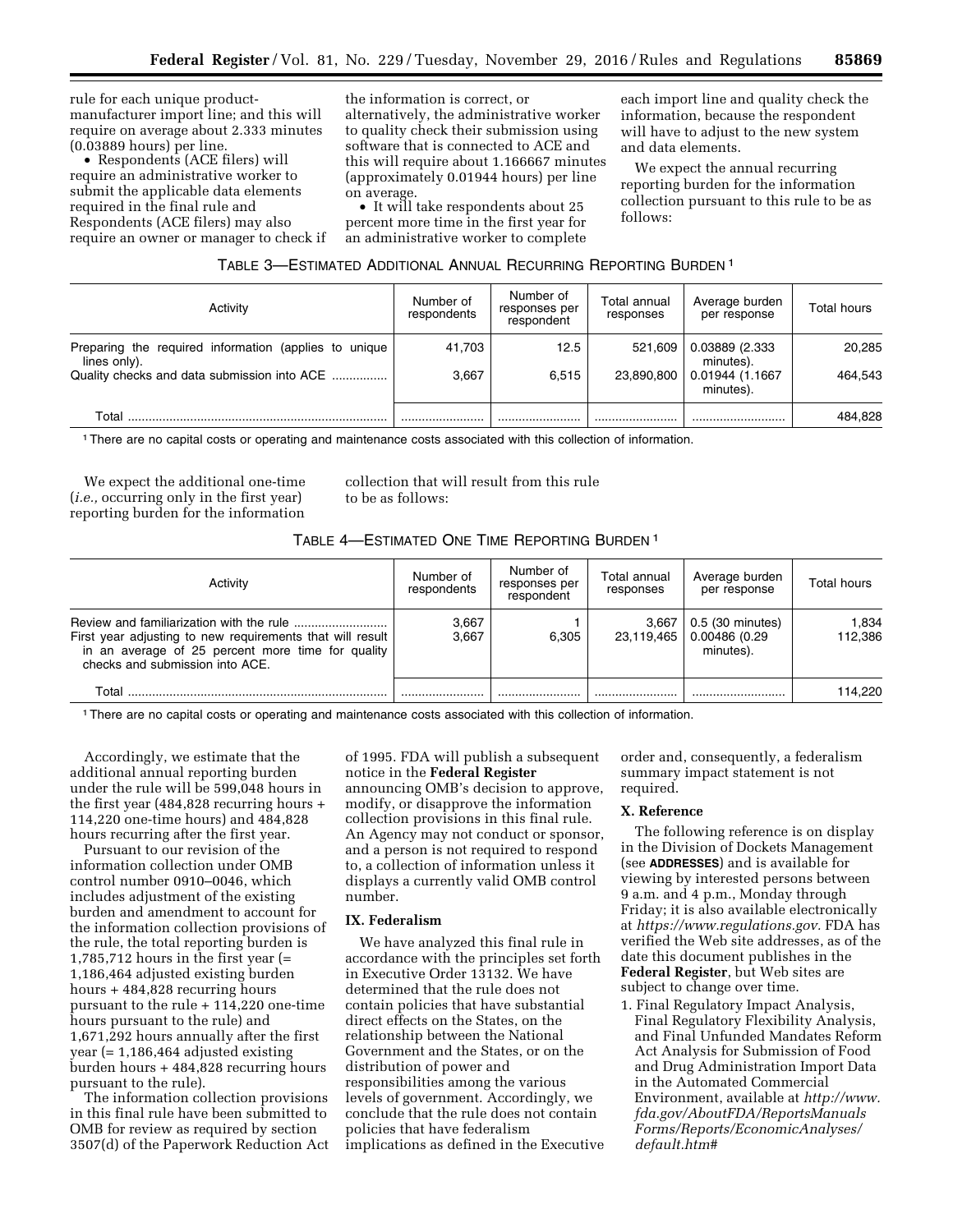rule for each unique productmanufacturer import line; and this will require on average about 2.333 minutes (0.03889 hours) per line.

• Respondents (ACE filers) will require an administrative worker to submit the applicable data elements required in the final rule and Respondents (ACE filers) may also require an owner or manager to check if the information is correct, or alternatively, the administrative worker to quality check their submission using software that is connected to ACE and this will require about 1.166667 minutes (approximately 0.01944 hours) per line on average.

• It will take respondents about 25 percent more time in the first year for an administrative worker to complete

each import line and quality check the information, because the respondent will have to adjust to the new system and data elements.

We expect the annual recurring reporting burden for the information collection pursuant to this rule to be as follows:

| TABLE 3-ESTIMATED ADDITIONAL ANNUAL RECURRING REPORTING BURDEN <sup>1</sup> |  |  |
|-----------------------------------------------------------------------------|--|--|
|-----------------------------------------------------------------------------|--|--|

| Activity                                                              | Number of<br>respondents | Number of<br>responses per<br>respondent | Total annual<br>responses | Average burden<br>per response | Total hours |
|-----------------------------------------------------------------------|--------------------------|------------------------------------------|---------------------------|--------------------------------|-------------|
| Preparing the required information (applies to unique<br>lines only). | 41.703                   | 12.5                                     | 521,609                   | 0.03889 (2.333<br>minutes).    | 20,285      |
| Quality checks and data submission into ACE                           | 3.667                    | 6.515                                    | 23,890,800                | 0.01944 (1.1667<br>minutes).   | 464.543     |
| Total                                                                 |                          |                                          |                           |                                | 484.828     |

1There are no capital costs or operating and maintenance costs associated with this collection of information.

We expect the additional one-time (*i.e.,* occurring only in the first year) reporting burden for the information

collection that will result from this rule to be as follows:

# TABLE 4—ESTIMATED ONE TIME REPORTING BURDEN 1

| Activity                                                                                                                                            | Number of<br>respondents | Number of<br>responses per<br>respondent | Total annual<br>responses | Average burden<br>per response                 | Total hours      |
|-----------------------------------------------------------------------------------------------------------------------------------------------------|--------------------------|------------------------------------------|---------------------------|------------------------------------------------|------------------|
| First year adjusting to new requirements that will result  <br>in an average of 25 percent more time for quality<br>checks and submission into ACE. | 3.667<br>3.667           | 6.305                                    | 3.667<br>23.119.465       | 0.5 (30 minutes)<br>0.00486 (0.29<br>minutes). | 1.834<br>112.386 |
| Total                                                                                                                                               |                          |                                          |                           |                                                | 114.220          |

1There are no capital costs or operating and maintenance costs associated with this collection of information.

Accordingly, we estimate that the additional annual reporting burden under the rule will be 599,048 hours in the first year (484,828 recurring hours + 114,220 one-time hours) and 484,828 hours recurring after the first year.

Pursuant to our revision of the information collection under OMB control number 0910–0046, which includes adjustment of the existing burden and amendment to account for the information collection provisions of the rule, the total reporting burden is 1,785,712 hours in the first year (= 1,186,464 adjusted existing burden hours + 484,828 recurring hours pursuant to the rule + 114,220 one-time hours pursuant to the rule) and 1,671,292 hours annually after the first year (= 1,186,464 adjusted existing burden hours + 484,828 recurring hours pursuant to the rule).

The information collection provisions in this final rule have been submitted to OMB for review as required by section 3507(d) of the Paperwork Reduction Act

of 1995. FDA will publish a subsequent notice in the **Federal Register**  announcing OMB's decision to approve, modify, or disapprove the information collection provisions in this final rule. An Agency may not conduct or sponsor, and a person is not required to respond to, a collection of information unless it displays a currently valid OMB control number.

## **IX. Federalism**

We have analyzed this final rule in accordance with the principles set forth in Executive Order 13132. We have determined that the rule does not contain policies that have substantial direct effects on the States, on the relationship between the National Government and the States, or on the distribution of power and responsibilities among the various levels of government. Accordingly, we conclude that the rule does not contain policies that have federalism implications as defined in the Executive order and, consequently, a federalism summary impact statement is not required.

#### **X. Reference**

The following reference is on display in the Division of Dockets Management (see **ADDRESSES**) and is available for viewing by interested persons between 9 a.m. and 4 p.m., Monday through Friday; it is also available electronically at *[https://www.regulations.gov.](https://www.regulations.gov)* FDA has verified the Web site addresses, as of the date this document publishes in the **Federal Register**, but Web sites are subject to change over time.

1. Final Regulatory Impact Analysis, Final Regulatory Flexibility Analysis, and Final Unfunded Mandates Reform Act Analysis for Submission of Food and Drug Administration Import Data in the Automated Commercial Environment, available at *[http://www.](http://www.fda.gov/AboutFDA/ReportsManualsForms/Reports/EconomicAnalyses/default.htm#) [fda.gov/AboutFDA/ReportsManuals](http://www.fda.gov/AboutFDA/ReportsManualsForms/Reports/EconomicAnalyses/default.htm#) [Forms/Reports/EconomicAnalyses/](http://www.fda.gov/AboutFDA/ReportsManualsForms/Reports/EconomicAnalyses/default.htm#) [default.htm#](http://www.fda.gov/AboutFDA/ReportsManualsForms/Reports/EconomicAnalyses/default.htm#)*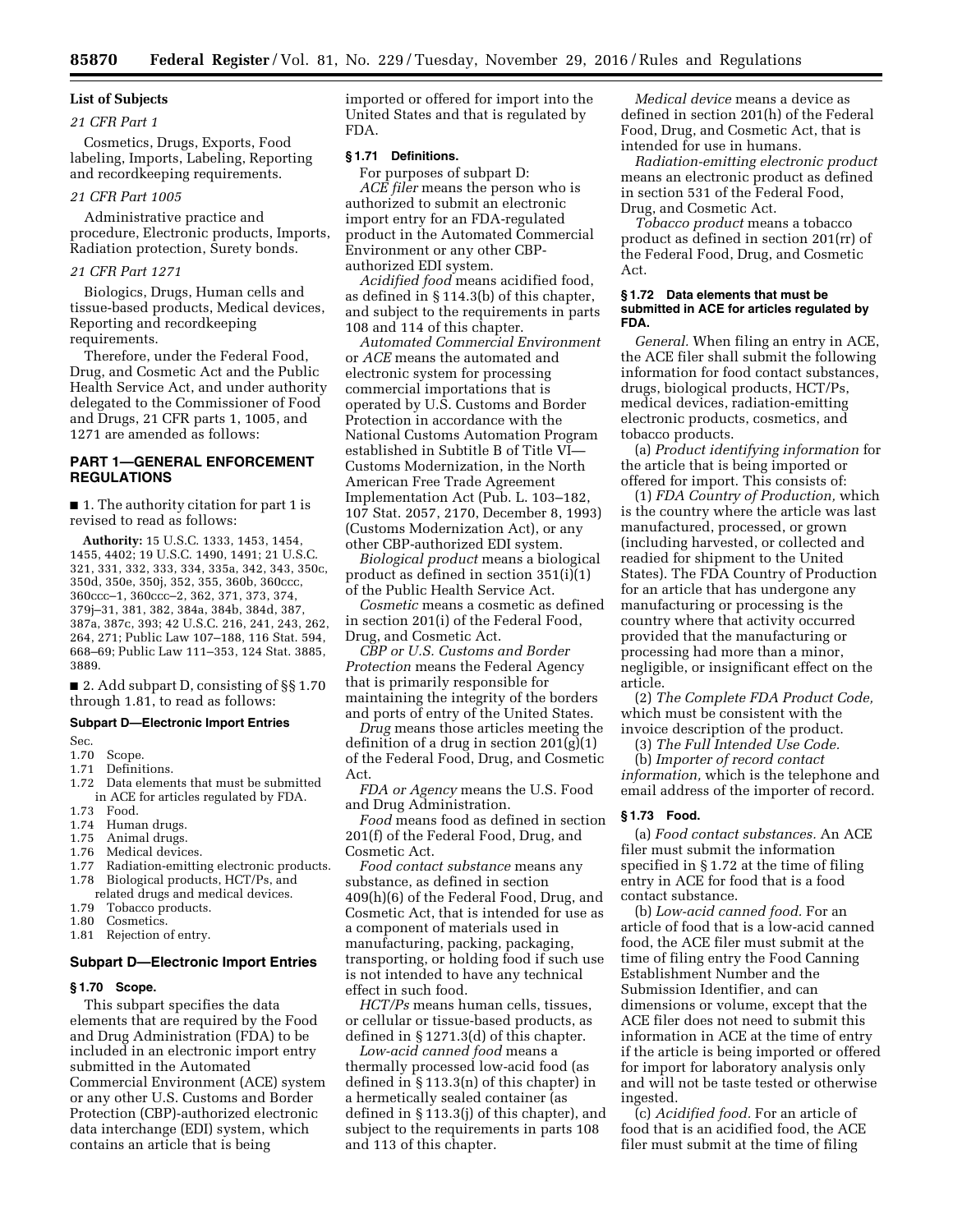# **List of Subjects**

## *21 CFR Part 1*

Cosmetics, Drugs, Exports, Food labeling, Imports, Labeling, Reporting and recordkeeping requirements.

## *21 CFR Part 1005*

Administrative practice and procedure, Electronic products, Imports, Radiation protection, Surety bonds.

## *21 CFR Part 1271*

Biologics, Drugs, Human cells and tissue-based products, Medical devices, Reporting and recordkeeping requirements.

Therefore, under the Federal Food, Drug, and Cosmetic Act and the Public Health Service Act, and under authority delegated to the Commissioner of Food and Drugs, 21 CFR parts 1, 1005, and 1271 are amended as follows:

# **PART 1—GENERAL ENFORCEMENT REGULATIONS**

■ 1. The authority citation for part 1 is revised to read as follows:

**Authority:** 15 U.S.C. 1333, 1453, 1454, 1455, 4402; 19 U.S.C. 1490, 1491; 21 U.S.C. 321, 331, 332, 333, 334, 335a, 342, 343, 350c, 350d, 350e, 350j, 352, 355, 360b, 360ccc, 360ccc–1, 360ccc–2, 362, 371, 373, 374, 379j–31, 381, 382, 384a, 384b, 384d, 387, 387a, 387c, 393; 42 U.S.C. 216, 241, 243, 262, 264, 271; Public Law 107–188, 116 Stat. 594, 668–69; Public Law 111–353, 124 Stat. 3885, 3889.

■ 2. Add subpart D, consisting of §§1.70 through 1.81, to read as follows:

## **Subpart D—Electronic Import Entries**

#### Sec.

- 1.70 Scope.
- 1.71 Definitions.
- 1.72 Data elements that must be submitted in ACE for articles regulated by FDA.
- 1.73 Food.
- 1.74 Human drugs.<br>1.75 Animal drugs.
- Animal drugs.
- 1.76 Medical devices.
- 1.77 Radiation-emitting electronic products. 1.78 Biological products, HCT/Ps, and related drugs and medical devices.
- 
- 1.79 Tobacco products.<br>1.80 Cosmetics Cosmetics.
- 1.81 Rejection of entry.

# **Subpart D—Electronic Import Entries**

#### **§ 1.70 Scope.**

This subpart specifies the data elements that are required by the Food and Drug Administration (FDA) to be included in an electronic import entry submitted in the Automated Commercial Environment (ACE) system or any other U.S. Customs and Border Protection (CBP)-authorized electronic data interchange (EDI) system, which contains an article that is being

imported or offered for import into the United States and that is regulated by FDA.

# **§ 1.71 Definitions.**

For purposes of subpart D: *ACE filer* means the person who is authorized to submit an electronic import entry for an FDA-regulated product in the Automated Commercial Environment or any other CBPauthorized EDI system.

*Acidified food* means acidified food, as defined in § 114.3(b) of this chapter, and subject to the requirements in parts 108 and 114 of this chapter.

*Automated Commercial Environment*  or *ACE* means the automated and electronic system for processing commercial importations that is operated by U.S. Customs and Border Protection in accordance with the National Customs Automation Program established in Subtitle B of Title VI— Customs Modernization, in the North American Free Trade Agreement Implementation Act (Pub. L. 103–182, 107 Stat. 2057, 2170, December 8, 1993) (Customs Modernization Act), or any other CBP-authorized EDI system.

*Biological product* means a biological product as defined in section 351(i)(1) of the Public Health Service Act.

*Cosmetic* means a cosmetic as defined in section 201(i) of the Federal Food, Drug, and Cosmetic Act.

*CBP or U.S. Customs and Border Protection* means the Federal Agency that is primarily responsible for maintaining the integrity of the borders and ports of entry of the United States.

*Drug* means those articles meeting the definition of a drug in section 201(g)(1) of the Federal Food, Drug, and Cosmetic Act.

*FDA or Agency* means the U.S. Food and Drug Administration.

*Food* means food as defined in section 201(f) of the Federal Food, Drug, and Cosmetic Act.

*Food contact substance* means any substance, as defined in section 409(h)(6) of the Federal Food, Drug, and Cosmetic Act, that is intended for use as a component of materials used in manufacturing, packing, packaging, transporting, or holding food if such use is not intended to have any technical effect in such food.

*HCT/Ps* means human cells, tissues, or cellular or tissue-based products, as defined in § 1271.3(d) of this chapter.

*Low-acid canned food* means a thermally processed low-acid food (as defined in § 113.3(n) of this chapter) in a hermetically sealed container (as defined in § 113.3(j) of this chapter), and subject to the requirements in parts 108 and 113 of this chapter.

*Medical device* means a device as defined in section 201(h) of the Federal Food, Drug, and Cosmetic Act, that is intended for use in humans.

*Radiation-emitting electronic product*  means an electronic product as defined in section 531 of the Federal Food, Drug, and Cosmetic Act.

*Tobacco product* means a tobacco product as defined in section 201(rr) of the Federal Food, Drug, and Cosmetic Act.

#### **§ 1.72 Data elements that must be submitted in ACE for articles regulated by FDA.**

*General.* When filing an entry in ACE, the ACE filer shall submit the following information for food contact substances, drugs, biological products, HCT/Ps, medical devices, radiation-emitting electronic products, cosmetics, and tobacco products.

(a) *Product identifying information* for the article that is being imported or offered for import. This consists of:

(1) *FDA Country of Production,* which is the country where the article was last manufactured, processed, or grown (including harvested, or collected and readied for shipment to the United States). The FDA Country of Production for an article that has undergone any manufacturing or processing is the country where that activity occurred provided that the manufacturing or processing had more than a minor, negligible, or insignificant effect on the article.

(2) *The Complete FDA Product Code,*  which must be consistent with the invoice description of the product.

(3) *The Full Intended Use Code.* 

(b) *Importer of record contact information,* which is the telephone and email address of the importer of record.

## **§ 1.73 Food.**

(a) *Food contact substances.* An ACE filer must submit the information specified in § 1.72 at the time of filing entry in ACE for food that is a food contact substance.

(b) *Low-acid canned food.* For an article of food that is a low-acid canned food, the ACE filer must submit at the time of filing entry the Food Canning Establishment Number and the Submission Identifier, and can dimensions or volume, except that the ACE filer does not need to submit this information in ACE at the time of entry if the article is being imported or offered for import for laboratory analysis only and will not be taste tested or otherwise ingested.

(c) *Acidified food.* For an article of food that is an acidified food, the ACE filer must submit at the time of filing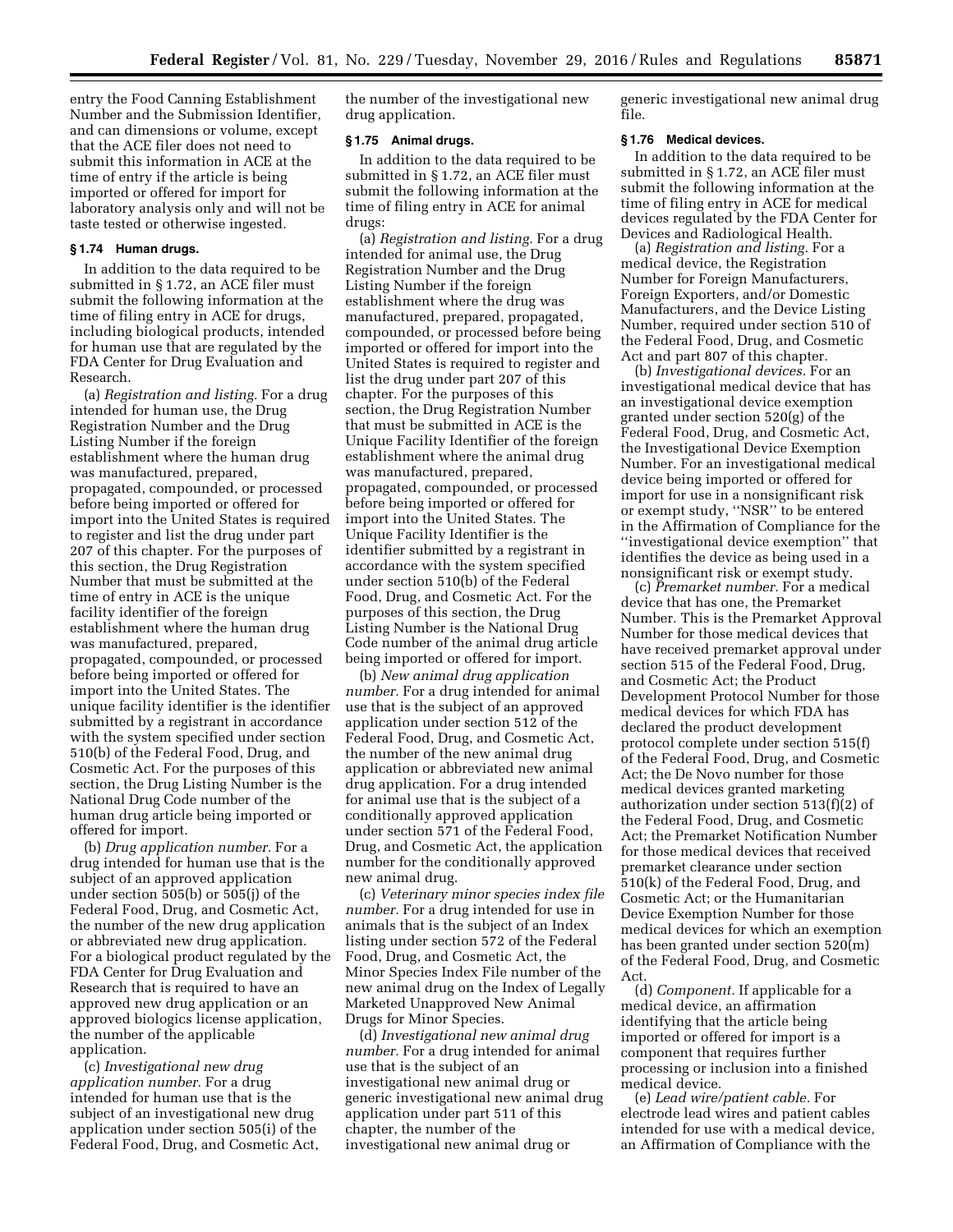entry the Food Canning Establishment Number and the Submission Identifier, and can dimensions or volume, except that the ACE filer does not need to submit this information in ACE at the time of entry if the article is being imported or offered for import for laboratory analysis only and will not be taste tested or otherwise ingested.

#### **§ 1.74 Human drugs.**

In addition to the data required to be submitted in § 1.72, an ACE filer must submit the following information at the time of filing entry in ACE for drugs, including biological products, intended for human use that are regulated by the FDA Center for Drug Evaluation and Research.

(a) *Registration and listing.* For a drug intended for human use, the Drug Registration Number and the Drug Listing Number if the foreign establishment where the human drug was manufactured, prepared, propagated, compounded, or processed before being imported or offered for import into the United States is required to register and list the drug under part 207 of this chapter. For the purposes of this section, the Drug Registration Number that must be submitted at the time of entry in ACE is the unique facility identifier of the foreign establishment where the human drug was manufactured, prepared, propagated, compounded, or processed before being imported or offered for import into the United States. The unique facility identifier is the identifier submitted by a registrant in accordance with the system specified under section 510(b) of the Federal Food, Drug, and Cosmetic Act. For the purposes of this section, the Drug Listing Number is the National Drug Code number of the human drug article being imported or offered for import.

(b) *Drug application number.* For a drug intended for human use that is the subject of an approved application under section 505(b) or 505(j) of the Federal Food, Drug, and Cosmetic Act, the number of the new drug application or abbreviated new drug application. For a biological product regulated by the FDA Center for Drug Evaluation and Research that is required to have an approved new drug application or an approved biologics license application, the number of the applicable application.

(c) *Investigational new drug application number.* For a drug intended for human use that is the subject of an investigational new drug application under section 505(i) of the Federal Food, Drug, and Cosmetic Act, the number of the investigational new drug application.

#### **§ 1.75 Animal drugs.**

In addition to the data required to be submitted in § 1.72, an ACE filer must submit the following information at the time of filing entry in ACE for animal drugs:

(a) *Registration and listing.* For a drug intended for animal use, the Drug Registration Number and the Drug Listing Number if the foreign establishment where the drug was manufactured, prepared, propagated, compounded, or processed before being imported or offered for import into the United States is required to register and list the drug under part 207 of this chapter. For the purposes of this section, the Drug Registration Number that must be submitted in ACE is the Unique Facility Identifier of the foreign establishment where the animal drug was manufactured, prepared, propagated, compounded, or processed before being imported or offered for import into the United States. The Unique Facility Identifier is the identifier submitted by a registrant in accordance with the system specified under section 510(b) of the Federal Food, Drug, and Cosmetic Act. For the purposes of this section, the Drug Listing Number is the National Drug Code number of the animal drug article being imported or offered for import.

(b) *New animal drug application number.* For a drug intended for animal use that is the subject of an approved application under section 512 of the Federal Food, Drug, and Cosmetic Act, the number of the new animal drug application or abbreviated new animal drug application. For a drug intended for animal use that is the subject of a conditionally approved application under section 571 of the Federal Food, Drug, and Cosmetic Act, the application number for the conditionally approved new animal drug.

(c) *Veterinary minor species index file number.* For a drug intended for use in animals that is the subject of an Index listing under section 572 of the Federal Food, Drug, and Cosmetic Act, the Minor Species Index File number of the new animal drug on the Index of Legally Marketed Unapproved New Animal Drugs for Minor Species.

(d) *Investigational new animal drug number.* For a drug intended for animal use that is the subject of an investigational new animal drug or generic investigational new animal drug application under part 511 of this chapter, the number of the investigational new animal drug or

generic investigational new animal drug file.

#### **§ 1.76 Medical devices.**

In addition to the data required to be submitted in § 1.72, an ACE filer must submit the following information at the time of filing entry in ACE for medical devices regulated by the FDA Center for Devices and Radiological Health.

(a) *Registration and listing.* For a medical device, the Registration Number for Foreign Manufacturers, Foreign Exporters, and/or Domestic Manufacturers, and the Device Listing Number, required under section 510 of the Federal Food, Drug, and Cosmetic Act and part 807 of this chapter.

(b) *Investigational devices.* For an investigational medical device that has an investigational device exemption granted under section 520(g) of the Federal Food, Drug, and Cosmetic Act, the Investigational Device Exemption Number. For an investigational medical device being imported or offered for import for use in a nonsignificant risk or exempt study, ''NSR'' to be entered in the Affirmation of Compliance for the ''investigational device exemption'' that identifies the device as being used in a nonsignificant risk or exempt study.

(c) *Premarket number.* For a medical device that has one, the Premarket Number. This is the Premarket Approval Number for those medical devices that have received premarket approval under section 515 of the Federal Food, Drug, and Cosmetic Act; the Product Development Protocol Number for those medical devices for which FDA has declared the product development protocol complete under section 515(f) of the Federal Food, Drug, and Cosmetic Act; the De Novo number for those medical devices granted marketing authorization under section 513(f)(2) of the Federal Food, Drug, and Cosmetic Act; the Premarket Notification Number for those medical devices that received premarket clearance under section 510(k) of the Federal Food, Drug, and Cosmetic Act; or the Humanitarian Device Exemption Number for those medical devices for which an exemption has been granted under section 520(m) of the Federal Food, Drug, and Cosmetic Act.

(d) *Component.* If applicable for a medical device, an affirmation identifying that the article being imported or offered for import is a component that requires further processing or inclusion into a finished medical device.

(e) *Lead wire/patient cable.* For electrode lead wires and patient cables intended for use with a medical device, an Affirmation of Compliance with the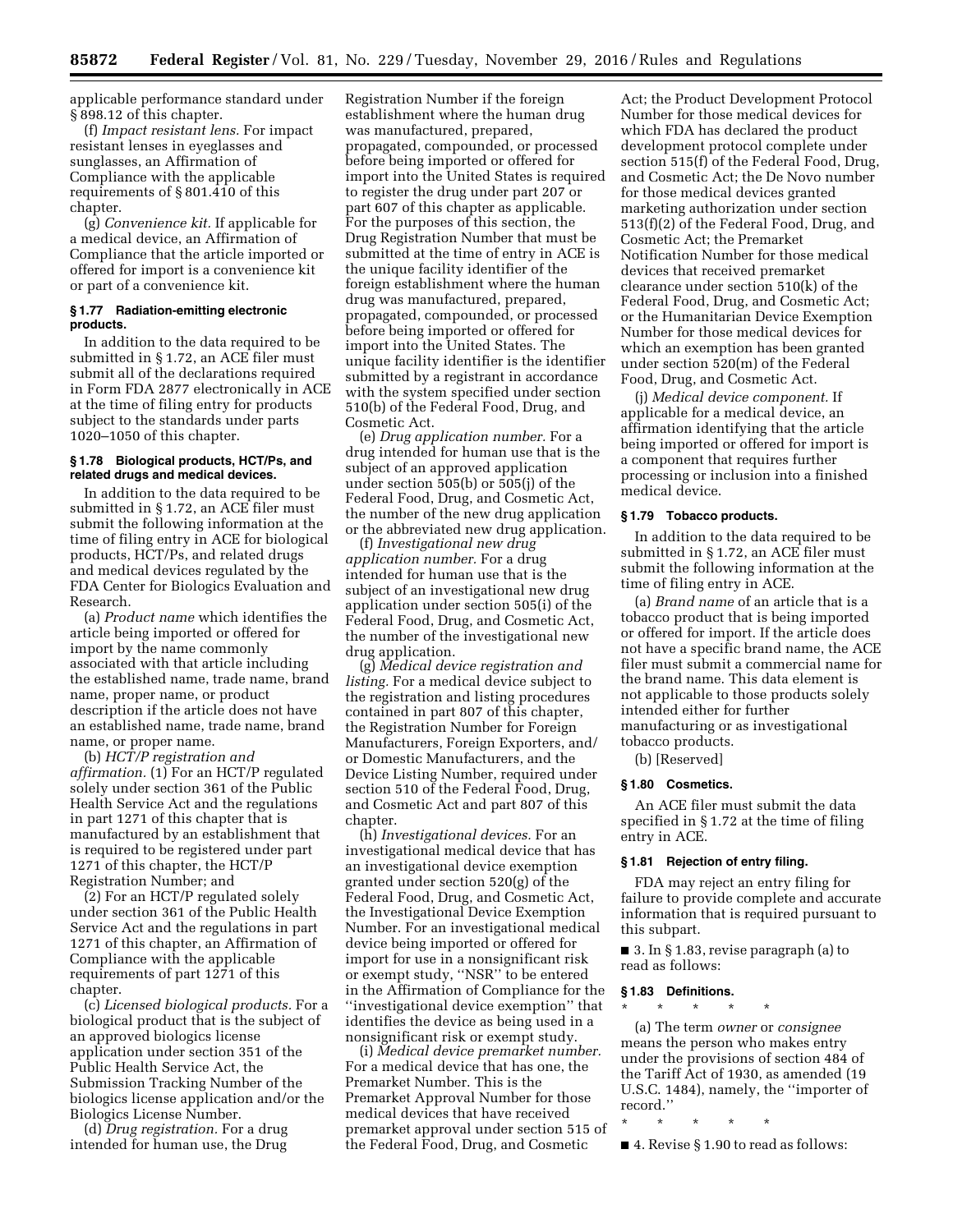applicable performance standard under § 898.12 of this chapter.

(f) *Impact resistant lens.* For impact resistant lenses in eyeglasses and sunglasses, an Affirmation of Compliance with the applicable requirements of § 801.410 of this chapter.

(g) *Convenience kit.* If applicable for a medical device, an Affirmation of Compliance that the article imported or offered for import is a convenience kit or part of a convenience kit.

#### **§ 1.77 Radiation-emitting electronic products.**

In addition to the data required to be submitted in § 1.72, an ACE filer must submit all of the declarations required in Form FDA 2877 electronically in ACE at the time of filing entry for products subject to the standards under parts 1020–1050 of this chapter.

## **§ 1.78 Biological products, HCT/Ps, and related drugs and medical devices.**

In addition to the data required to be submitted in § 1.72, an ACE filer must submit the following information at the time of filing entry in ACE for biological products, HCT/Ps, and related drugs and medical devices regulated by the FDA Center for Biologics Evaluation and Research.

(a) *Product name* which identifies the article being imported or offered for import by the name commonly associated with that article including the established name, trade name, brand name, proper name, or product description if the article does not have an established name, trade name, brand name, or proper name.

(b) *HCT/P registration and affirmation.* (1) For an HCT/P regulated solely under section 361 of the Public Health Service Act and the regulations in part 1271 of this chapter that is manufactured by an establishment that is required to be registered under part 1271 of this chapter, the HCT/P Registration Number; and

(2) For an HCT/P regulated solely under section 361 of the Public Health Service Act and the regulations in part 1271 of this chapter, an Affirmation of Compliance with the applicable requirements of part 1271 of this chapter.

(c) *Licensed biological products.* For a biological product that is the subject of an approved biologics license application under section 351 of the Public Health Service Act, the Submission Tracking Number of the biologics license application and/or the Biologics License Number.

(d) *Drug registration.* For a drug intended for human use, the Drug

Registration Number if the foreign establishment where the human drug was manufactured, prepared, propagated, compounded, or processed before being imported or offered for import into the United States is required to register the drug under part 207 or part 607 of this chapter as applicable. For the purposes of this section, the Drug Registration Number that must be submitted at the time of entry in ACE is the unique facility identifier of the foreign establishment where the human drug was manufactured, prepared, propagated, compounded, or processed before being imported or offered for import into the United States. The unique facility identifier is the identifier submitted by a registrant in accordance with the system specified under section 510(b) of the Federal Food, Drug, and Cosmetic Act.

(e) *Drug application number.* For a drug intended for human use that is the subject of an approved application under section 505(b) or 505(j) of the Federal Food, Drug, and Cosmetic Act, the number of the new drug application or the abbreviated new drug application.

(f) *Investigational new drug application number.* For a drug intended for human use that is the subject of an investigational new drug application under section 505(i) of the Federal Food, Drug, and Cosmetic Act, the number of the investigational new drug application.

(g) *Medical device registration and listing.* For a medical device subject to the registration and listing procedures contained in part 807 of this chapter, the Registration Number for Foreign Manufacturers, Foreign Exporters, and/ or Domestic Manufacturers, and the Device Listing Number, required under section 510 of the Federal Food, Drug, and Cosmetic Act and part 807 of this chapter.

(h) *Investigational devices.* For an investigational medical device that has an investigational device exemption granted under section 520(g) of the Federal Food, Drug, and Cosmetic Act, the Investigational Device Exemption Number. For an investigational medical device being imported or offered for import for use in a nonsignificant risk or exempt study, ''NSR'' to be entered in the Affirmation of Compliance for the ''investigational device exemption'' that identifies the device as being used in a nonsignificant risk or exempt study.

(i) *Medical device premarket number.*  For a medical device that has one, the Premarket Number. This is the Premarket Approval Number for those medical devices that have received premarket approval under section 515 of the Federal Food, Drug, and Cosmetic

Act; the Product Development Protocol Number for those medical devices for which FDA has declared the product development protocol complete under section 515(f) of the Federal Food, Drug, and Cosmetic Act; the De Novo number for those medical devices granted marketing authorization under section 513(f)(2) of the Federal Food, Drug, and Cosmetic Act; the Premarket Notification Number for those medical devices that received premarket clearance under section 510(k) of the Federal Food, Drug, and Cosmetic Act; or the Humanitarian Device Exemption Number for those medical devices for which an exemption has been granted under section 520(m) of the Federal Food, Drug, and Cosmetic Act.

(j) *Medical device component.* If applicable for a medical device, an affirmation identifying that the article being imported or offered for import is a component that requires further processing or inclusion into a finished medical device.

#### **§ 1.79 Tobacco products.**

In addition to the data required to be submitted in § 1.72, an ACE filer must submit the following information at the time of filing entry in ACE.

(a) *Brand name* of an article that is a tobacco product that is being imported or offered for import. If the article does not have a specific brand name, the ACE filer must submit a commercial name for the brand name. This data element is not applicable to those products solely intended either for further manufacturing or as investigational tobacco products.

(b) [Reserved]

#### **§ 1.80 Cosmetics.**

An ACE filer must submit the data specified in § 1.72 at the time of filing entry in ACE.

### **§ 1.81 Rejection of entry filing.**

FDA may reject an entry filing for failure to provide complete and accurate information that is required pursuant to this subpart.

■ 3. In § 1.83, revise paragraph (a) to read as follows:

# **§ 1.83 Definitions.**

\* \* \* \* \*

(a) The term *owner* or *consignee*  means the person who makes entry under the provisions of section 484 of the Tariff Act of 1930, as amended (19 U.S.C. 1484), namely, the ''importer of record.''

\* \* \* \* \*

■ 4. Revise § 1.90 to read as follows: